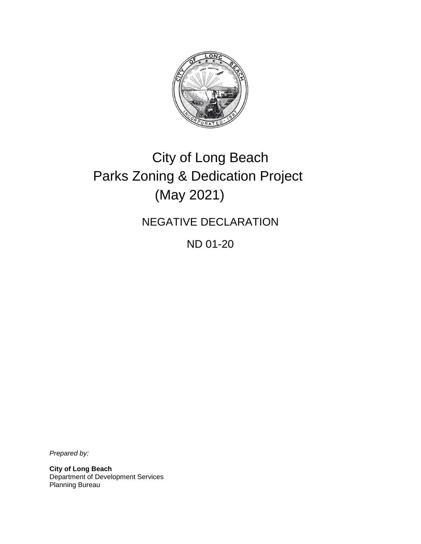

# City of Long Beach Parks Zoning & Dedication Project (May 2021)

NEGATIVE DECLARATION

ND 01-20

*Prepared by:*

**City of Long Beach** Department of Development Services Planning Bureau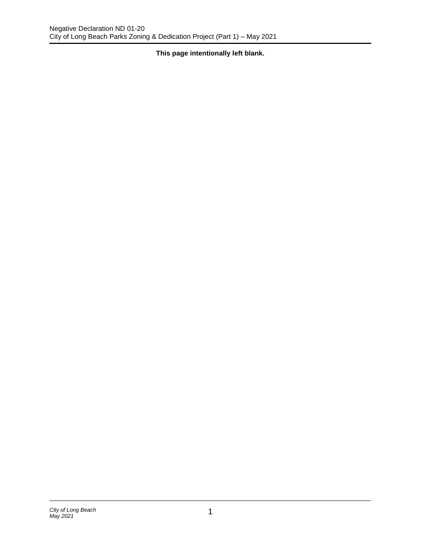**This page intentionally left blank.**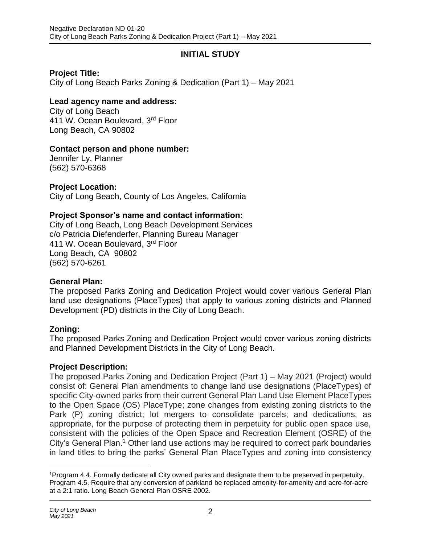## **INITIAL STUDY**

## **Project Title:**

City of Long Beach Parks Zoning & Dedication (Part 1) – May 2021

#### **Lead agency name and address:**

City of Long Beach 411 W. Ocean Boulevard, 3rd Floor Long Beach, CA 90802

## **Contact person and phone number:**

Jennifer Ly, Planner (562) 570-6368

## **Project Location:**

City of Long Beach, County of Los Angeles, California

#### **Project Sponsor's name and contact information:**

City of Long Beach, Long Beach Development Services c/o Patricia Diefenderfer, Planning Bureau Manager 411 W. Ocean Boulevard, 3<sup>rd</sup> Floor Long Beach, CA 90802 (562) 570-6261

#### **General Plan:**

The proposed Parks Zoning and Dedication Project would cover various General Plan land use designations (PlaceTypes) that apply to various zoning districts and Planned Development (PD) districts in the City of Long Beach.

#### **Zoning:**

The proposed Parks Zoning and Dedication Project would cover various zoning districts and Planned Development Districts in the City of Long Beach.

#### **Project Description:**

The proposed Parks Zoning and Dedication Project (Part 1) – May 2021 (Project) would consist of: General Plan amendments to change land use designations (PlaceTypes) of specific City-owned parks from their current General Plan Land Use Element PlaceTypes to the Open Space (OS) PlaceType; zone changes from existing zoning districts to the Park (P) zoning district; lot mergers to consolidate parcels; and dedications, as appropriate, for the purpose of protecting them in perpetuity for public open space use, consistent with the policies of the Open Space and Recreation Element (OSRE) of the City's General Plan.<sup>1</sup> Other land use actions may be required to correct park boundaries in land titles to bring the parks' General Plan PlaceTypes and zoning into consistency

 $\overline{a}$ <sup>1</sup>Program 4.4. Formally dedicate all City owned parks and designate them to be preserved in perpetuity. Program 4.5. Require that any conversion of parkland be replaced amenity-for-amenity and acre-for-acre at a 2:1 ratio. Long Beach General Plan OSRE 2002.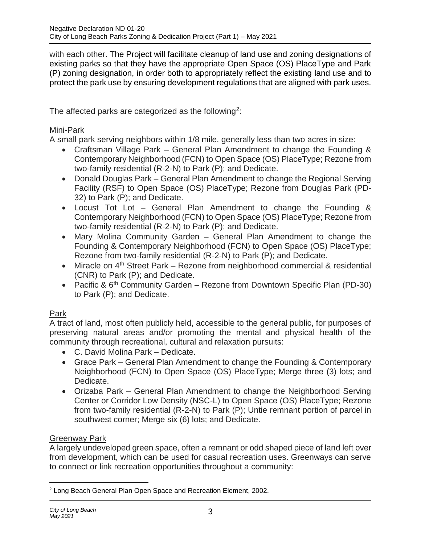with each other. The Project will facilitate cleanup of land use and zoning designations of existing parks so that they have the appropriate Open Space (OS) PlaceType and Park (P) zoning designation, in order both to appropriately reflect the existing land use and to protect the park use by ensuring development regulations that are aligned with park uses.

The affected parks are categorized as the following<sup>2</sup>:

## Mini-Park

A small park serving neighbors within 1/8 mile, generally less than two acres in size:

- Craftsman Village Park General Plan Amendment to change the Founding & Contemporary Neighborhood (FCN) to Open Space (OS) PlaceType; Rezone from two-family residential (R-2-N) to Park (P); and Dedicate.
- Donald Douglas Park General Plan Amendment to change the Regional Serving Facility (RSF) to Open Space (OS) PlaceType; Rezone from Douglas Park (PD-32) to Park (P); and Dedicate.
- Locust Tot Lot General Plan Amendment to change the Founding & Contemporary Neighborhood (FCN) to Open Space (OS) PlaceType; Rezone from two-family residential (R-2-N) to Park (P); and Dedicate.
- Mary Molina Community Garden General Plan Amendment to change the Founding & Contemporary Neighborhood (FCN) to Open Space (OS) PlaceType; Rezone from two-family residential (R-2-N) to Park (P); and Dedicate.
- $\bullet$  Miracle on  $4<sup>th</sup>$  Street Park Rezone from neighborhood commercial & residential (CNR) to Park (P); and Dedicate.
- Pacific &  $6<sup>th</sup>$  Community Garden Rezone from Downtown Specific Plan (PD-30) to Park (P); and Dedicate.

## Park

A tract of land, most often publicly held, accessible to the general public, for purposes of preserving natural areas and/or promoting the mental and physical health of the community through recreational, cultural and relaxation pursuits:

- C. David Molina Park Dedicate.
- Grace Park General Plan Amendment to change the Founding & Contemporary Neighborhood (FCN) to Open Space (OS) PlaceType; Merge three (3) lots; and Dedicate.
- Orizaba Park General Plan Amendment to change the Neighborhood Serving Center or Corridor Low Density (NSC-L) to Open Space (OS) PlaceType; Rezone from two-family residential (R-2-N) to Park (P); Untie remnant portion of parcel in southwest corner; Merge six (6) lots; and Dedicate.

# Greenway Park

A largely undeveloped green space, often a remnant or odd shaped piece of land left over from development, which can be used for casual recreation uses. Greenways can serve to connect or link recreation opportunities throughout a community:

 $\overline{a}$ <sup>2</sup> Long Beach General Plan Open Space and Recreation Element, 2002.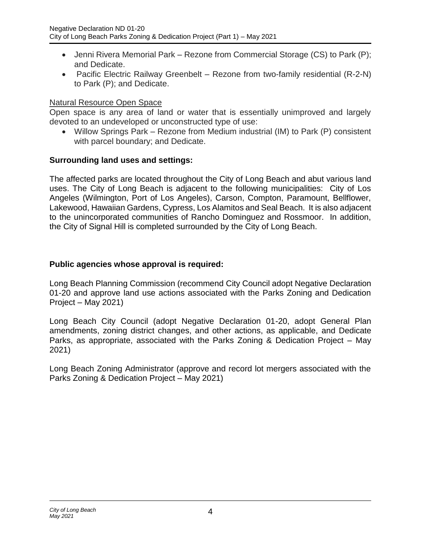- Jenni Rivera Memorial Park Rezone from Commercial Storage (CS) to Park (P); and Dedicate.
- Pacific Electric Railway Greenbelt Rezone from two-family residential (R-2-N) to Park (P); and Dedicate.

#### Natural Resource Open Space

Open space is any area of land or water that is essentially unimproved and largely devoted to an undeveloped or unconstructed type of use:

 Willow Springs Park – Rezone from Medium industrial (IM) to Park (P) consistent with parcel boundary; and Dedicate.

## **Surrounding land uses and settings:**

The affected parks are located throughout the City of Long Beach and abut various land uses. The City of Long Beach is adjacent to the following municipalities: City of Los Angeles (Wilmington, Port of Los Angeles), Carson, Compton, Paramount, Bellflower, Lakewood, Hawaiian Gardens, Cypress, Los Alamitos and Seal Beach. It is also adjacent to the unincorporated communities of Rancho Dominguez and Rossmoor. In addition, the City of Signal Hill is completed surrounded by the City of Long Beach.

## **Public agencies whose approval is required:**

Long Beach Planning Commission (recommend City Council adopt Negative Declaration 01-20 and approve land use actions associated with the Parks Zoning and Dedication Project – May 2021)

Long Beach City Council (adopt Negative Declaration 01-20, adopt General Plan amendments, zoning district changes, and other actions, as applicable, and Dedicate Parks, as appropriate, associated with the Parks Zoning & Dedication Project – May 2021)

Long Beach Zoning Administrator (approve and record lot mergers associated with the Parks Zoning & Dedication Project – May 2021)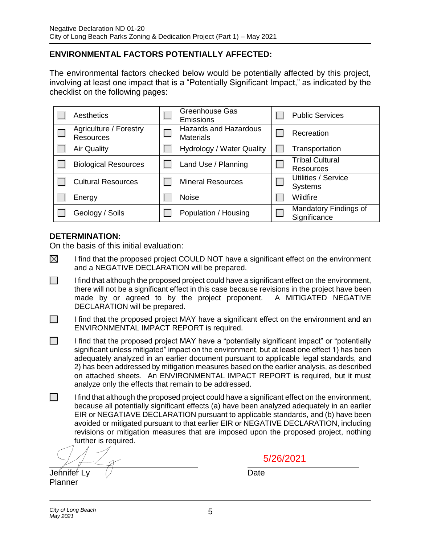## **ENVIRONMENTAL FACTORS POTENTIALLY AFFECTED:**

The environmental factors checked below would be potentially affected by this project, involving at least one impact that is a "Potentially Significant Impact," as indicated by the checklist on the following pages:

| Aesthetics                                 | <b>Greenhouse Gas</b><br><b>Emissions</b>        | <b>Public Services</b>                |
|--------------------------------------------|--------------------------------------------------|---------------------------------------|
| Agriculture / Forestry<br><b>Resources</b> | <b>Hazards and Hazardous</b><br><b>Materials</b> | Recreation                            |
| <b>Air Quality</b>                         | Hydrology / Water Quality                        | Transportation                        |
| <b>Biological Resources</b>                | Land Use / Planning                              | <b>Tribal Cultural</b><br>Resources   |
| <b>Cultural Resources</b>                  | <b>Mineral Resources</b>                         | Utilities / Service<br><b>Systems</b> |
| Energy                                     | <b>Noise</b>                                     | Wildfire                              |
| Geology / Soils                            | Population / Housing                             | Mandatory Findings of<br>Significance |

#### **DETERMINATION:**

On the basis of this initial evaluation:

- $\boxtimes$ I find that the proposed project COULD NOT have a significant effect on the environment and a NEGATIVE DECLARATION will be prepared.
- $\Box$ I find that although the proposed project could have a significant effect on the environment, there will not be a significant effect in this case because revisions in the project have been made by or agreed to by the project proponent. A MITIGATED NEGATIVE DECLARATION will be prepared.
- $\Box$ I find that the proposed project MAY have a significant effect on the environment and an ENVIRONMENTAL IMPACT REPORT is required.
- $\Box$ I find that the proposed project MAY have a "potentially significant impact" or "potentially significant unless mitigated" impact on the environment, but at least one effect 1) has been adequately analyzed in an earlier document pursuant to applicable legal standards, and 2) has been addressed by mitigation measures based on the earlier analysis, as described on attached sheets. An ENVIRONMENTAL IMPACT REPORT is required, but it must analyze only the effects that remain to be addressed.
- $\Box$ I find that although the proposed project could have a significant effect on the environment, because all potentially significant effects (a) have been analyzed adequately in an earlier EIR or NEGATIAVE DECLARATION pursuant to applicable standards, and (b) have been avoided or mitigated pursuant to that earlier EIR or NEGATIVE DECLARATION, including revisions or mitigation measures that are imposed upon the proposed project, nothing further is required.

Jennifer Ly  $\qquad$  /

5/26/2021

Planner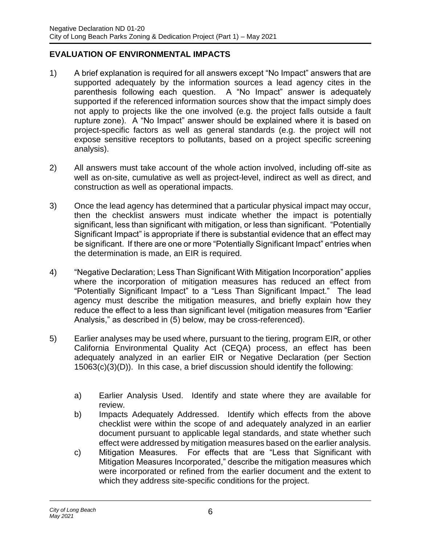## **EVALUATION OF ENVIRONMENTAL IMPACTS**

- 1) A brief explanation is required for all answers except "No Impact" answers that are supported adequately by the information sources a lead agency cites in the parenthesis following each question. A "No Impact" answer is adequately supported if the referenced information sources show that the impact simply does not apply to projects like the one involved (e.g. the project falls outside a fault rupture zone). A "No Impact" answer should be explained where it is based on project-specific factors as well as general standards (e.g. the project will not expose sensitive receptors to pollutants, based on a project specific screening analysis).
- 2) All answers must take account of the whole action involved, including off-site as well as on-site, cumulative as well as project-level, indirect as well as direct, and construction as well as operational impacts.
- 3) Once the lead agency has determined that a particular physical impact may occur, then the checklist answers must indicate whether the impact is potentially significant, less than significant with mitigation, or less than significant. "Potentially Significant Impact" is appropriate if there is substantial evidence that an effect may be significant. If there are one or more "Potentially Significant Impact" entries when the determination is made, an EIR is required.
- 4) "Negative Declaration; Less Than Significant With Mitigation Incorporation" applies where the incorporation of mitigation measures has reduced an effect from "Potentially Significant Impact" to a "Less Than Significant Impact." The lead agency must describe the mitigation measures, and briefly explain how they reduce the effect to a less than significant level (mitigation measures from "Earlier Analysis," as described in (5) below, may be cross-referenced).
- 5) Earlier analyses may be used where, pursuant to the tiering, program EIR, or other California Environmental Quality Act (CEQA) process, an effect has been adequately analyzed in an earlier EIR or Negative Declaration (per Section 15063(c)(3)(D)). In this case, a brief discussion should identify the following:
	- a) Earlier Analysis Used. Identify and state where they are available for review.
	- b) Impacts Adequately Addressed. Identify which effects from the above checklist were within the scope of and adequately analyzed in an earlier document pursuant to applicable legal standards, and state whether such effect were addressed by mitigation measures based on the earlier analysis.
	- c) Mitigation Measures. For effects that are "Less that Significant with Mitigation Measures Incorporated," describe the mitigation measures which were incorporated or refined from the earlier document and the extent to which they address site-specific conditions for the project.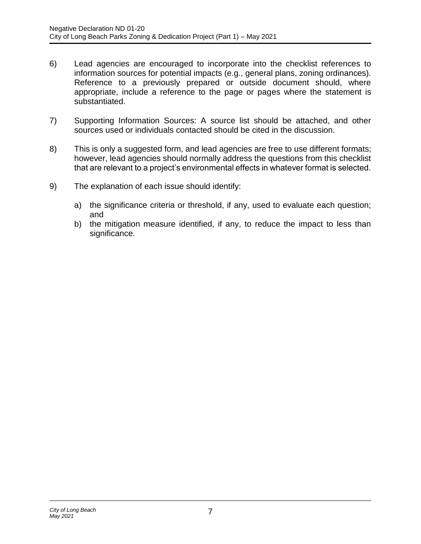- 6) Lead agencies are encouraged to incorporate into the checklist references to information sources for potential impacts (e.g., general plans, zoning ordinances). Reference to a previously prepared or outside document should, where appropriate, include a reference to the page or pages where the statement is substantiated.
- 7) Supporting Information Sources: A source list should be attached, and other sources used or individuals contacted should be cited in the discussion.
- 8) This is only a suggested form, and lead agencies are free to use different formats; however, lead agencies should normally address the questions from this checklist that are relevant to a project's environmental effects in whatever format is selected.
- 9) The explanation of each issue should identify:
	- a) the significance criteria or threshold, if any, used to evaluate each question; and
	- b) the mitigation measure identified, if any, to reduce the impact to less than significance.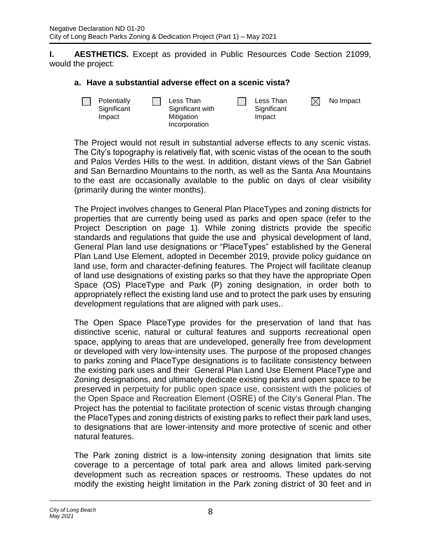**I. AESTHETICS.** Except as provided in Public Resources Code Section 21099, would the project:

#### **a. Have a substantial adverse effect on a scenic vista?**

- **Potentially Significant** Impact
- Less Than Significant with Mitigation Incorporation
- Less Than **Significant** Impact

 $\boxtimes$ No Impact

The Project would not result in substantial adverse effects to any scenic vistas. The City's topography is relatively flat, with scenic vistas of the ocean to the south and Palos Verdes Hills to the west. In addition, distant views of the San Gabriel and San Bernardino Mountains to the north, as well as the Santa Ana Mountains to the east are occasionally available to the public on days of clear visibility (primarily during the winter months).

The Project involves changes to General Plan PlaceTypes and zoning districts for properties that are currently being used as parks and open space (refer to the Project Description on page 1). While zoning districts provide the specific standards and regulations that guide the use and physical development of land, General Plan land use designations or "PlaceTypes" established by the General Plan Land Use Element, adopted in December 2019, provide policy guidance on land use, form and character-defining features. The Project will facilitate cleanup of land use designations of existing parks so that they have the appropriate Open Space (OS) PlaceType and Park (P) zoning designation, in order both to appropriately reflect the existing land use and to protect the park uses by ensuring development regulations that are aligned with park uses..

The Open Space PlaceType provides for the preservation of land that has distinctive scenic, natural or cultural features and supports recreational open space, applying to areas that are undeveloped, generally free from development or developed with very low-intensity uses. The purpose of the proposed changes to parks zoning and PlaceType designations is to facilitate consistency between the existing park uses and their General Plan Land Use Element PlaceType and Zoning designations, and ultimately dedicate existing parks and open space to be preserved in perpetuity for public open space use, consistent with the policies of the Open Space and Recreation Element (OSRE) of the City's General Plan. The Project has the potential to facilitate protection of scenic vistas through changing the PlaceTypes and zoning districts of existing parks to reflect their park land uses, to designations that are lower-intensity and more protective of scenic and other natural features.

The Park zoning district is a low-intensity zoning designation that limits site coverage to a percentage of total park area and allows limited park-serving development such as recreation spaces or restrooms. These updates do not modify the existing height limitation in the Park zoning district of 30 feet and in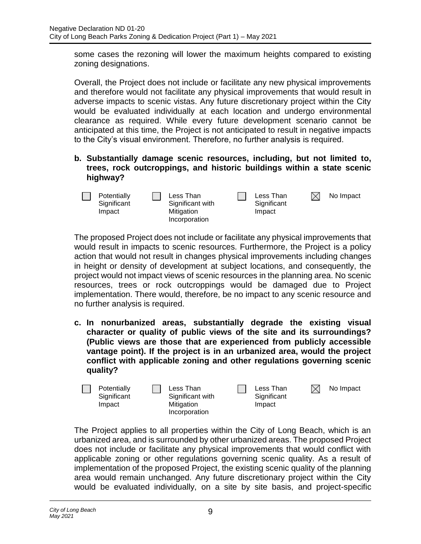some cases the rezoning will lower the maximum heights compared to existing zoning designations.

Overall, the Project does not include or facilitate any new physical improvements and therefore would not facilitate any physical improvements that would result in adverse impacts to scenic vistas. Any future discretionary project within the City would be evaluated individually at each location and undergo environmental clearance as required. While every future development scenario cannot be anticipated at this time, the Project is not anticipated to result in negative impacts to the City's visual environment. Therefore, no further analysis is required.

#### **b. Substantially damage scenic resources, including, but not limited to, trees, rock outcroppings, and historic buildings within a state scenic highway?**



The proposed Project does not include or facilitate any physical improvements that would result in impacts to scenic resources. Furthermore, the Project is a policy action that would not result in changes physical improvements including changes in height or density of development at subject locations, and consequently, the project would not impact views of scenic resources in the planning area. No scenic resources, trees or rock outcroppings would be damaged due to Project implementation. There would, therefore, be no impact to any scenic resource and no further analysis is required.

**c. In nonurbanized areas, substantially degrade the existing visual character or quality of public views of the site and its surroundings? (Public views are those that are experienced from publicly accessible vantage point). If the project is in an urbanized area, would the project conflict with applicable zoning and other regulations governing scenic quality?**



The Project applies to all properties within the City of Long Beach, which is an urbanized area, and is surrounded by other urbanized areas. The proposed Project does not include or facilitate any physical improvements that would conflict with applicable zoning or other regulations governing scenic quality. As a result of implementation of the proposed Project, the existing scenic quality of the planning area would remain unchanged. Any future discretionary project within the City would be evaluated individually, on a site by site basis, and project-specific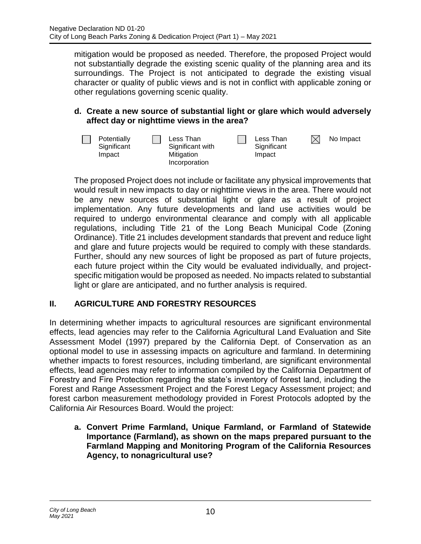mitigation would be proposed as needed. Therefore, the proposed Project would not substantially degrade the existing scenic quality of the planning area and its surroundings. The Project is not anticipated to degrade the existing visual character or quality of public views and is not in conflict with applicable zoning or other regulations governing scenic quality.

#### **d. Create a new source of substantial light or glare which would adversely affect day or nighttime views in the area?**



The proposed Project does not include or facilitate any physical improvements that would result in new impacts to day or nighttime views in the area. There would not be any new sources of substantial light or glare as a result of project implementation. Any future developments and land use activities would be required to undergo environmental clearance and comply with all applicable regulations, including Title 21 of the Long Beach Municipal Code (Zoning Ordinance). Title 21 includes development standards that prevent and reduce light and glare and future projects would be required to comply with these standards. Further, should any new sources of light be proposed as part of future projects, each future project within the City would be evaluated individually, and projectspecific mitigation would be proposed as needed. No impacts related to substantial light or glare are anticipated, and no further analysis is required.

## **II. AGRICULTURE AND FORESTRY RESOURCES**

In determining whether impacts to agricultural resources are significant environmental effects, lead agencies may refer to the California Agricultural Land Evaluation and Site Assessment Model (1997) prepared by the California Dept. of Conservation as an optional model to use in assessing impacts on agriculture and farmland. In determining whether impacts to forest resources, including timberland, are significant environmental effects, lead agencies may refer to information compiled by the California Department of Forestry and Fire Protection regarding the state's inventory of forest land, including the Forest and Range Assessment Project and the Forest Legacy Assessment project; and forest carbon measurement methodology provided in Forest Protocols adopted by the California Air Resources Board. Would the project:

**a. Convert Prime Farmland, Unique Farmland, or Farmland of Statewide Importance (Farmland), as shown on the maps prepared pursuant to the Farmland Mapping and Monitoring Program of the California Resources Agency, to nonagricultural use?**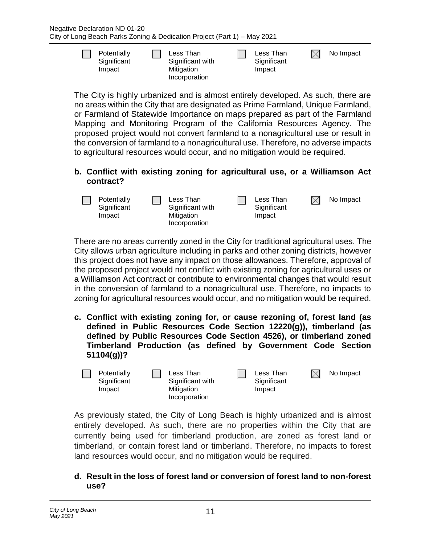

The City is highly urbanized and is almost entirely developed. As such, there are no areas within the City that are designated as Prime Farmland, Unique Farmland, or Farmland of Statewide Importance on maps prepared as part of the Farmland Mapping and Monitoring Program of the California Resources Agency. The proposed project would not convert farmland to a nonagricultural use or result in the conversion of farmland to a nonagricultural use. Therefore, no adverse impacts to agricultural resources would occur, and no mitigation would be required.

**b. Conflict with existing zoning for agricultural use, or a Williamson Act contract?**



There are no areas currently zoned in the City for traditional agricultural uses. The City allows urban agriculture including in parks and other zoning districts, however this project does not have any impact on those allowances. Therefore, approval of the proposed project would not conflict with existing zoning for agricultural uses or a Williamson Act contract or contribute to environmental changes that would result in the conversion of farmland to a nonagricultural use. Therefore, no impacts to zoning for agricultural resources would occur, and no mitigation would be required.

**c. Conflict with existing zoning for, or cause rezoning of, forest land (as defined in Public Resources Code Section 12220(g)), timberland (as defined by Public Resources Code Section 4526), or timberland zoned Timberland Production (as defined by Government Code Section 51104(g))?**



Less Than Significant with Mitigation Incorporation

Less Than **Significant** Impact

No Impact  $\boxtimes$ 

As previously stated, the City of Long Beach is highly urbanized and is almost entirely developed. As such, there are no properties within the City that are currently being used for timberland production, are zoned as forest land or timberland, or contain forest land or timberland. Therefore, no impacts to forest land resources would occur, and no mitigation would be required.

**d. Result in the loss of forest land or conversion of forest land to non-forest use?**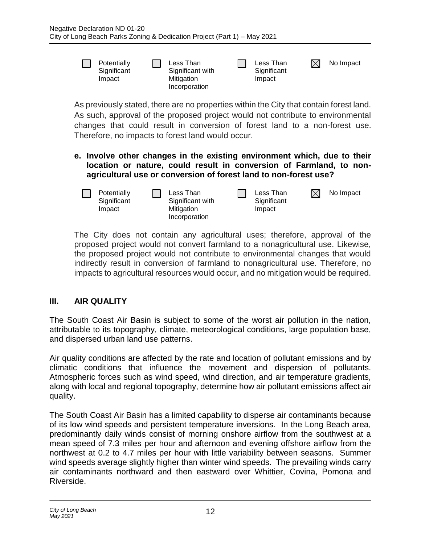

As previously stated, there are no properties within the City that contain forest land. As such, approval of the proposed project would not contribute to environmental changes that could result in conversion of forest land to a non-forest use. Therefore, no impacts to forest land would occur.

- **e. Involve other changes in the existing environment which, due to their location or nature, could result in conversion of Farmland, to nonagricultural use or conversion of forest land to non-forest use?**
	- **Potentially Significant** Impact

| Less Than  |                  |
|------------|------------------|
|            | Significant with |
| Mitigation |                  |
|            | Incorporation    |

 $\Box$ 

Less Than **Significant** Impact

No Impact  $\boxtimes$ 

The City does not contain any agricultural uses; therefore, approval of the proposed project would not convert farmland to a nonagricultural use. Likewise, the proposed project would not contribute to environmental changes that would indirectly result in conversion of farmland to nonagricultural use. Therefore, no impacts to agricultural resources would occur, and no mitigation would be required.

## **III. AIR QUALITY**

The South Coast Air Basin is subject to some of the worst air pollution in the nation, attributable to its topography, climate, meteorological conditions, large population base, and dispersed urban land use patterns.

Air quality conditions are affected by the rate and location of pollutant emissions and by climatic conditions that influence the movement and dispersion of pollutants. Atmospheric forces such as wind speed, wind direction, and air temperature gradients, along with local and regional topography, determine how air pollutant emissions affect air quality.

The South Coast Air Basin has a limited capability to disperse air contaminants because of its low wind speeds and persistent temperature inversions. In the Long Beach area, predominantly daily winds consist of morning onshore airflow from the southwest at a mean speed of 7.3 miles per hour and afternoon and evening offshore airflow from the northwest at 0.2 to 4.7 miles per hour with little variability between seasons. Summer wind speeds average slightly higher than winter wind speeds. The prevailing winds carry air contaminants northward and then eastward over Whittier, Covina, Pomona and Riverside.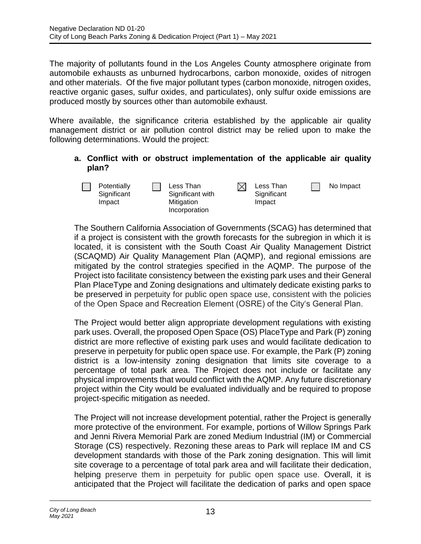The majority of pollutants found in the Los Angeles County atmosphere originate from automobile exhausts as unburned hydrocarbons, carbon monoxide, oxides of nitrogen and other materials. Of the five major pollutant types (carbon monoxide, nitrogen oxides, reactive organic gases, sulfur oxides, and particulates), only sulfur oxide emissions are produced mostly by sources other than automobile exhaust.

Where available, the significance criteria established by the applicable air quality management district or air pollution control district may be relied upon to make the following determinations. Would the project:

- **a. Conflict with or obstruct implementation of the applicable air quality plan?**
	- **Potentially** Less Than Less Than No Impact  $\boxtimes$ **Significant Significant** Significant with Impact Mitigation Impact Incorporation

The Southern California Association of Governments (SCAG) has determined that if a project is consistent with the growth forecasts for the subregion in which it is located, it is consistent with the South Coast Air Quality Management District (SCAQMD) Air Quality Management Plan (AQMP), and regional emissions are mitigated by the control strategies specified in the AQMP. The purpose of the Project isto facilitate consistency between the existing park uses and their General Plan PlaceType and Zoning designations and ultimately dedicate existing parks to be preserved in perpetuity for public open space use, consistent with the policies of the Open Space and Recreation Element (OSRE) of the City's General Plan.

The Project would better align appropriate development regulations with existing park uses. Overall, the proposed Open Space (OS) PlaceType and Park (P) zoning district are more reflective of existing park uses and would facilitate dedication to preserve in perpetuity for public open space use. For example, the Park (P) zoning district is a low-intensity zoning designation that limits site coverage to a percentage of total park area. The Project does not include or facilitate any physical improvements that would conflict with the AQMP. Any future discretionary project within the City would be evaluated individually and be required to propose project-specific mitigation as needed.

The Project will not increase development potential, rather the Project is generally more protective of the environment. For example, portions of Willow Springs Park and Jenni Rivera Memorial Park are zoned Medium Industrial (IM) or Commercial Storage (CS) respectively. Rezoning these areas to Park will replace IM and CS development standards with those of the Park zoning designation. This will limit site coverage to a percentage of total park area and will facilitate their dedication, helping preserve them in perpetuity for public open space use. Overall, it is anticipated that the Project will facilitate the dedication of parks and open space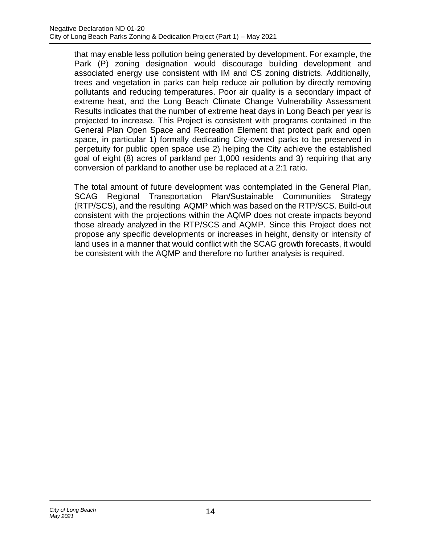that may enable less pollution being generated by development. For example, the Park (P) zoning designation would discourage building development and associated energy use consistent with IM and CS zoning districts. Additionally, trees and vegetation in parks can help reduce air pollution by directly removing pollutants and reducing temperatures. Poor air quality is a secondary impact of extreme heat, and the Long Beach Climate Change Vulnerability Assessment Results indicates that the number of extreme heat days in Long Beach per year is projected to increase. This Project is consistent with programs contained in the General Plan Open Space and Recreation Element that protect park and open space, in particular 1) formally dedicating City-owned parks to be preserved in perpetuity for public open space use 2) helping the City achieve the established goal of eight (8) acres of parkland per 1,000 residents and 3) requiring that any conversion of parkland to another use be replaced at a 2:1 ratio.

The total amount of future development was contemplated in the General Plan, SCAG Regional Transportation Plan/Sustainable Communities Strategy (RTP/SCS), and the resulting AQMP which was based on the RTP/SCS. Build-out consistent with the projections within the AQMP does not create impacts beyond those already analyzed in the RTP/SCS and AQMP. Since this Project does not propose any specific developments or increases in height, density or intensity of land uses in a manner that would conflict with the SCAG growth forecasts, it would be consistent with the AQMP and therefore no further analysis is required.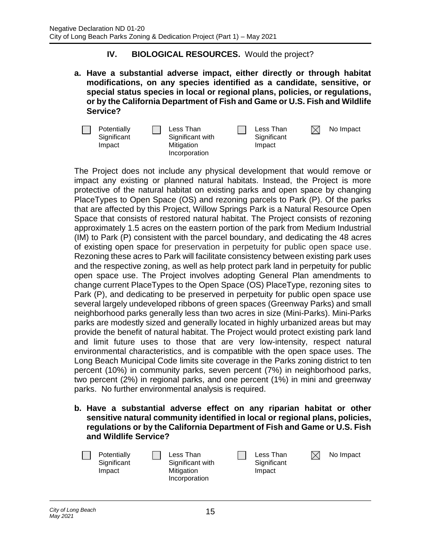## **IV. BIOLOGICAL RESOURCES.** Would the project?

**a. Have a substantial adverse impact, either directly or through habitat modifications, on any species identified as a candidate, sensitive, or special status species in local or regional plans, policies, or regulations, or by the California Department of Fish and Game or U.S. Fish and Wildlife Service?**

| Significant<br>Significant<br>Significant with<br>Mitigation<br>Impact<br>Impact<br>Incorporation |  | Potentially |  | Less Than |  | Less Than |  | No Impact |  |
|---------------------------------------------------------------------------------------------------|--|-------------|--|-----------|--|-----------|--|-----------|--|
|---------------------------------------------------------------------------------------------------|--|-------------|--|-----------|--|-----------|--|-----------|--|

The Project does not include any physical development that would remove or impact any existing or planned natural habitats. Instead, the Project is more protective of the natural habitat on existing parks and open space by changing PlaceTypes to Open Space (OS) and rezoning parcels to Park (P). Of the parks that are affected by this Project, Willow Springs Park is a Natural Resource Open Space that consists of restored natural habitat. The Project consists of rezoning approximately 1.5 acres on the eastern portion of the park from Medium Industrial (IM) to Park (P) consistent with the parcel boundary, and dedicating the 48 acres of existing open space for preservation in perpetuity for public open space use. Rezoning these acres to Park will facilitate consistency between existing park uses and the respective zoning, as well as help protect park land in perpetuity for public open space use. The Project involves adopting General Plan amendments to change current PlaceTypes to the Open Space (OS) PlaceType, rezoning sites to Park (P), and dedicating to be preserved in perpetuity for public open space use several largely undeveloped ribbons of green spaces (Greenway Parks) and small neighborhood parks generally less than two acres in size (Mini-Parks). Mini-Parks parks are modestly sized and generally located in highly urbanized areas but may provide the benefit of natural habitat. The Project would protect existing park land and limit future uses to those that are very low-intensity, respect natural environmental characteristics, and is compatible with the open space uses. The Long Beach Municipal Code limits site coverage in the Parks zoning district to ten percent (10%) in community parks, seven percent (7%) in neighborhood parks, two percent (2%) in regional parks, and one percent (1%) in mini and greenway parks. No further environmental analysis is required.

**b. Have a substantial adverse effect on any riparian habitat or other sensitive natural community identified in local or regional plans, policies, regulations or by the California Department of Fish and Game or U.S. Fish and Wildlife Service?**

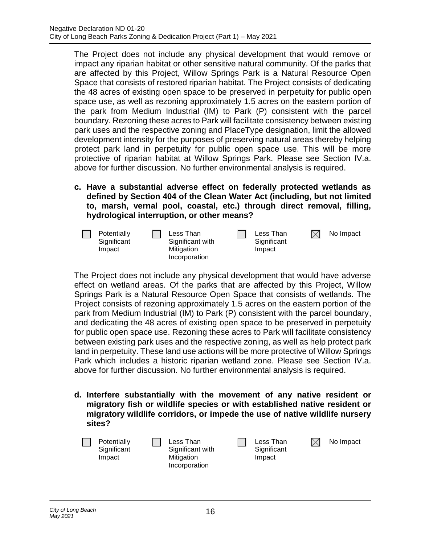The Project does not include any physical development that would remove or impact any riparian habitat or other sensitive natural community. Of the parks that are affected by this Project, Willow Springs Park is a Natural Resource Open Space that consists of restored riparian habitat. The Project consists of dedicating the 48 acres of existing open space to be preserved in perpetuity for public open space use, as well as rezoning approximately 1.5 acres on the eastern portion of the park from Medium Industrial (IM) to Park (P) consistent with the parcel boundary. Rezoning these acres to Park will facilitate consistency between existing park uses and the respective zoning and PlaceType designation, limit the allowed development intensity for the purposes of preserving natural areas thereby helping protect park land in perpetuity for public open space use. This will be more protective of riparian habitat at Willow Springs Park. Please see Section IV.a. above for further discussion. No further environmental analysis is required.

**c. Have a substantial adverse effect on federally protected wetlands as defined by Section 404 of the Clean Water Act (including, but not limited to, marsh, vernal pool, coastal, etc.) through direct removal, filling, hydrological interruption, or other means?**



The Project does not include any physical development that would have adverse effect on wetland areas. Of the parks that are affected by this Project, Willow Springs Park is a Natural Resource Open Space that consists of wetlands. The Project consists of rezoning approximately 1.5 acres on the eastern portion of the park from Medium Industrial (IM) to Park (P) consistent with the parcel boundary, and dedicating the 48 acres of existing open space to be preserved in perpetuity for public open space use. Rezoning these acres to Park will facilitate consistency between existing park uses and the respective zoning, as well as help protect park land in perpetuity. These land use actions will be more protective of Willow Springs Park which includes a historic riparian wetland zone. Please see Section IV.a. above for further discussion. No further environmental analysis is required.

**d. Interfere substantially with the movement of any native resident or migratory fish or wildlife species or with established native resident or migratory wildlife corridors, or impede the use of native wildlife nursery sites?**



 $\boxtimes$ No Impact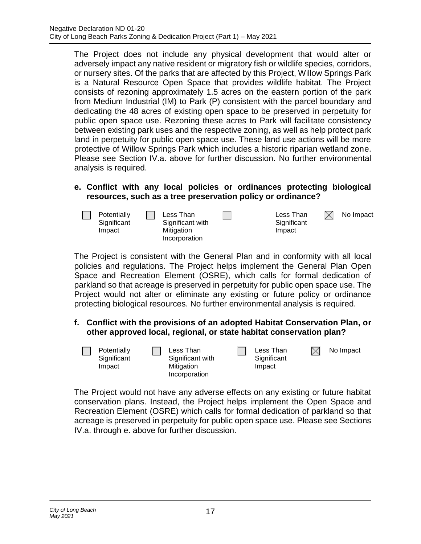The Project does not include any physical development that would alter or adversely impact any native resident or migratory fish or wildlife species, corridors, or nursery sites. Of the parks that are affected by this Project, Willow Springs Park is a Natural Resource Open Space that provides wildlife habitat. The Project consists of rezoning approximately 1.5 acres on the eastern portion of the park from Medium Industrial (IM) to Park (P) consistent with the parcel boundary and dedicating the 48 acres of existing open space to be preserved in perpetuity for public open space use. Rezoning these acres to Park will facilitate consistency between existing park uses and the respective zoning, as well as help protect park land in perpetuity for public open space use. These land use actions will be more protective of Willow Springs Park which includes a historic riparian wetland zone. Please see Section IV.a. above for further discussion. No further environmental analysis is required.

#### **e. Conflict with any local policies or ordinances protecting biological resources, such as a tree preservation policy or ordinance?**

| Potentially<br>Significant<br>Impact | Less Than<br>Significant with<br>Mitigation<br>Incorporation | Less Than<br>Significant<br>Impact | No Impact |
|--------------------------------------|--------------------------------------------------------------|------------------------------------|-----------|
|                                      |                                                              |                                    |           |

The Project is consistent with the General Plan and in conformity with all local policies and regulations. The Project helps implement the General Plan Open Space and Recreation Element (OSRE), which calls for formal dedication of parkland so that acreage is preserved in perpetuity for public open space use. The Project would not alter or eliminate any existing or future policy or ordinance protecting biological resources. No further environmental analysis is required.

**f. Conflict with the provisions of an adopted Habitat Conservation Plan, or other approved local, regional, or state habitat conservation plan?**

|  | Potentially<br>Significant<br>Impact |  | Less Than<br>Significant with<br>Mitigation<br>Incorporation |  | Less Than<br>Significant<br>Impact |  | No Impact |
|--|--------------------------------------|--|--------------------------------------------------------------|--|------------------------------------|--|-----------|
|--|--------------------------------------|--|--------------------------------------------------------------|--|------------------------------------|--|-----------|

The Project would not have any adverse effects on any existing or future habitat conservation plans. Instead, the Project helps implement the Open Space and Recreation Element (OSRE) which calls for formal dedication of parkland so that acreage is preserved in perpetuity for public open space use. Please see Sections IV.a. through e. above for further discussion.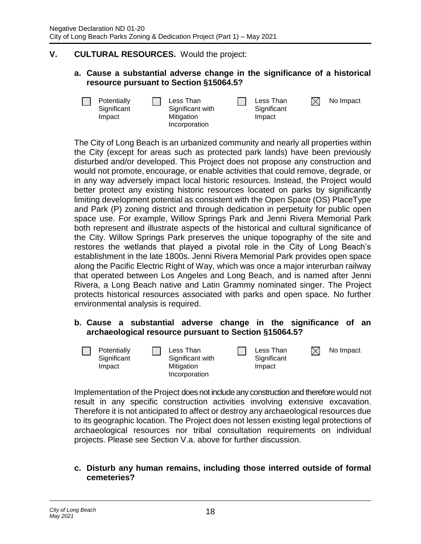## **V. CULTURAL RESOURCES.** Would the project:

#### **a. Cause a substantial adverse change in the significance of a historical resource pursuant to Section §15064.5?**

- **Potentially Significant** Impact
- Less Than Significant with Mitigation Incorporation
- Less Than **Significant** Impact

 $\boxtimes$ No Impact

The City of Long Beach is an urbanized community and nearly all properties within the City (except for areas such as protected park lands) have been previously disturbed and/or developed. This Project does not propose any construction and would not promote, encourage, or enable activities that could remove, degrade, or in any way adversely impact local historic resources. Instead, the Project would better protect any existing historic resources located on parks by significantly limiting development potential as consistent with the Open Space (OS) PlaceType and Park (P) zoning district and through dedication in perpetuity for public open space use. For example, Willow Springs Park and Jenni Rivera Memorial Park both represent and illustrate aspects of the historical and cultural significance of the City. Willow Springs Park preserves the unique topography of the site and restores the wetlands that played a pivotal role in the City of Long Beach's establishment in the late 1800s. Jenni Rivera Memorial Park provides open space along the Pacific Electric Right of Way, which was once a major interurban railway that operated between Los Angeles and Long Beach, and is named after Jenni Rivera, a Long Beach native and Latin Grammy nominated singer. The Project protects historical resources associated with parks and open space. No further environmental analysis is required.

#### **b. Cause a substantial adverse change in the significance of an archaeological resource pursuant to Section §15064.5?**

- **Potentially Significant** Impact
- Less Than Significant with Mitigation Incorporation

Less Than  $\boxtimes$ No Impact **Significant** Impact

Implementation of the Project does not include any construction and therefore would not result in any specific construction activities involving extensive excavation. Therefore it is not anticipated to affect or destroy any archaeological resources due to its geographic location. The Project does not lessen existing legal protections of archaeological resources nor tribal consultation requirements on individual projects. Please see Section V.a. above for further discussion.

**c. Disturb any human remains, including those interred outside of formal cemeteries?**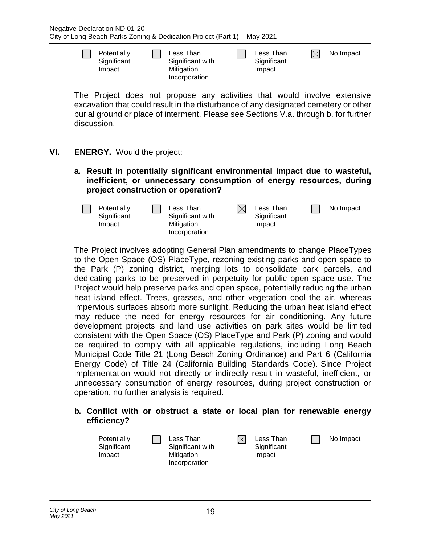

The Project does not propose any activities that would involve extensive excavation that could result in the disturbance of any designated cemetery or other burial ground or place of interment. Please see Sections V.a. through b. for further discussion.

#### **VI. ENERGY.** Would the project:

**a. Result in potentially significant environmental impact due to wasteful, inefficient, or unnecessary consumption of energy resources, during project construction or operation?**

| Potentially<br>Significant<br>Impact | Less Than<br>Significant with<br>Mitigation | Less Than<br>Significant<br>Impact | No Impact |
|--------------------------------------|---------------------------------------------|------------------------------------|-----------|
|                                      | Incorporation                               |                                    |           |

The Project involves adopting General Plan amendments to change PlaceTypes to the Open Space (OS) PlaceType, rezoning existing parks and open space to the Park (P) zoning district, merging lots to consolidate park parcels, and dedicating parks to be preserved in perpetuity for public open space use. The Project would help preserve parks and open space, potentially reducing the urban heat island effect. Trees, grasses, and other vegetation cool the air, whereas impervious surfaces absorb more sunlight. Reducing the urban heat island effect may reduce the need for energy resources for air conditioning. Any future development projects and land use activities on park sites would be limited consistent with the Open Space (OS) PlaceType and Park (P) zoning and would be required to comply with all applicable regulations, including Long Beach Municipal Code Title 21 (Long Beach Zoning Ordinance) and Part 6 (California Energy Code) of Title 24 (California Building Standards Code). Since Project implementation would not directly or indirectly result in wasteful, inefficient, or unnecessary consumption of energy resources, during project construction or operation, no further analysis is required.

#### **b. Conflict with or obstruct a state or local plan for renewable energy efficiency?**

**Potentially Significant** Impact

Less Than Significant with **Mitigation** Incorporation

| $\bowtie$ | Less Than   |
|-----------|-------------|
|           | Significant |
|           | Impact      |

No Impact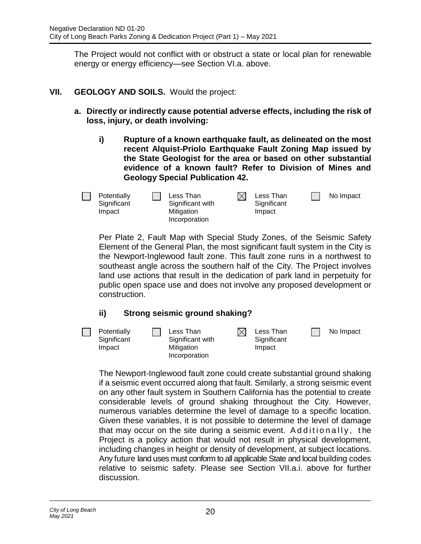The Project would not conflict with or obstruct a state or local plan for renewable energy or energy efficiency—see Section VI.a. above.

## **VII. GEOLOGY AND SOILS.** Would the project:

- **a. Directly or indirectly cause potential adverse effects, including the risk of loss, injury, or death involving:**
	- **i) Rupture of a known earthquake fault, as delineated on the most recent Alquist-Priolo Earthquake Fault Zoning Map issued by the State Geologist for the area or based on other substantial evidence of a known fault? Refer to Division of Mines and Geology Special Publication 42.**

|  | Potentially<br>Significant<br>Impact |  | Less Than<br>Significant with<br>Mitigation<br>Incorporation |  | Less Than<br>Significant<br>Impact |  | No Impact |
|--|--------------------------------------|--|--------------------------------------------------------------|--|------------------------------------|--|-----------|
|--|--------------------------------------|--|--------------------------------------------------------------|--|------------------------------------|--|-----------|

Per Plate 2, Fault Map with Special Study Zones, of the Seismic Safety Element of the General Plan, the most significant fault system in the City is the Newport-Inglewood fault zone. This fault zone runs in a northwest to southeast angle across the southern half of the City. The Project involves land use actions that result in the dedication of park land in perpetuity for public open space use and does not involve any proposed development or construction.

#### **ii) Strong seismic ground shaking?**

**Potentially** Less Than  $\boxtimes$ Less Than No Impact **Significant** Significant with **Significant** Impact Mitigation Impact Incorporation

The Newport-Inglewood fault zone could create substantial ground shaking if a seismic event occurred along that fault. Similarly, a strong seismic event on any other fault system in Southern California has the potential to create considerable levels of ground shaking throughout the City. However, numerous variables determine the level of damage to a specific location. Given these variables, it is not possible to determine the level of damage that may occur on the site during a seismic event. Additionally, the Project is a policy action that would not result in physical development, including changes in height or density of development, at subject locations. Any future land uses must conform to all applicable State and local building codes relative to seismic safety. Please see Section VII.a.i. above for further discussion.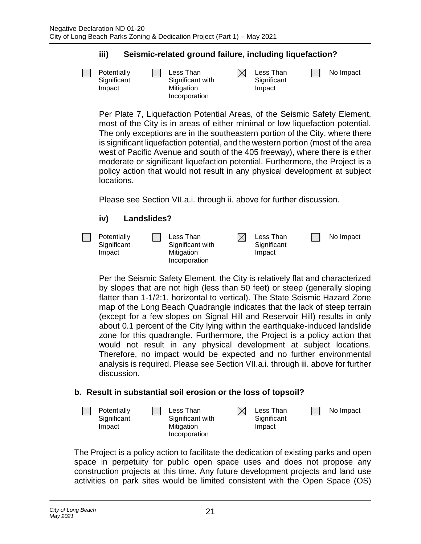## **iii) Seismic-related ground failure, including liquefaction?**

| Potentially |
|-------------|
| Significant |
| Impact      |

| Less Than        |
|------------------|
| Significant with |
| Mitigation       |
| Incorporation    |

Less Than **Significant** Impact

No Impact

Per Plate 7, Liquefaction Potential Areas, of the Seismic Safety Element, most of the City is in areas of either minimal or low liquefaction potential. The only exceptions are in the southeastern portion of the City, where there is significant liquefaction potential, and the western portion (most of the area west of Pacific Avenue and south of the 405 freeway), where there is either moderate or significant liquefaction potential. Furthermore, the Project is a policy action that would not result in any physical development at subject locations.

 $\boxtimes$ 

Please see Section VII.a.i. through ii. above for further discussion.

# **iv) Landslides?**

**Potentially** Less Than  $\boxtimes$ Less Than No Impact **Significant** Significant with **Significant** Impact **Mitigation** Impact Incorporation

Per the Seismic Safety Element, the City is relatively flat and characterized by slopes that are not high (less than 50 feet) or steep (generally sloping flatter than 1-1/2:1, horizontal to vertical). The State Seismic Hazard Zone map of the Long Beach Quadrangle indicates that the lack of steep terrain (except for a few slopes on Signal Hill and Reservoir Hill) results in only about 0.1 percent of the City lying within the earthquake-induced landslide zone for this quadrangle. Furthermore, the Project is a policy action that would not result in any physical development at subject locations. Therefore, no impact would be expected and no further environmental analysis is required. Please see Section VII.a.i. through iii. above for further discussion.

## **b. Result in substantial soil erosion or the loss of topsoil?**



The Project is a policy action to facilitate the dedication of existing parks and open space in perpetuity for public open space uses and does not propose any construction projects at this time. Any future development projects and land use activities on park sites would be limited consistent with the Open Space (OS)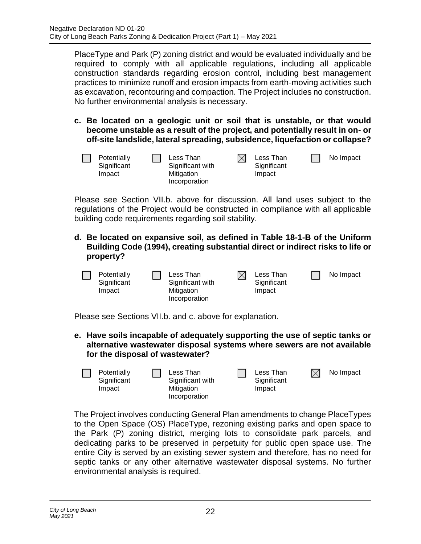PlaceType and Park (P) zoning district and would be evaluated individually and be required to comply with all applicable regulations, including all applicable construction standards regarding erosion control, including best management practices to minimize runoff and erosion impacts from earth-moving activities such as excavation, recontouring and compaction. The Project includes no construction. No further environmental analysis is necessary.

**c. Be located on a geologic unit or soil that is unstable, or that would become unstable as a result of the project, and potentially result in on- or off-site landslide, lateral spreading, subsidence, liquefaction or collapse?** 



Less Than Significant with Mitigation Incorporation

Less Than  $\boxtimes$ **Significant** Impact

No Impact

Please see Section VII.b. above for discussion. All land uses subject to the regulations of the Project would be constructed in compliance with all applicable building code requirements regarding soil stability.

**d. Be located on expansive soil, as defined in Table 18-1-B of the Uniform Building Code (1994), creating substantial direct or indirect risks to life or property?**

**Potentially** Less Than  $\boxtimes$ Less Than No Impact **Significant** Significant with **Significant** Impact Mitigation Impact Incorporation

Please see Sections VII.b. and c. above for explanation.

**e. Have soils incapable of adequately supporting the use of septic tanks or alternative wastewater disposal systems where sewers are not available for the disposal of wastewater?**

|  | Potentially<br>Significant<br>Impact |  | Less Than<br>Significant with<br>Mitigation<br>Incorporation |  | Less Than<br>Significant<br>Impact |  | No Impact |
|--|--------------------------------------|--|--------------------------------------------------------------|--|------------------------------------|--|-----------|
|--|--------------------------------------|--|--------------------------------------------------------------|--|------------------------------------|--|-----------|

The Project involves conducting General Plan amendments to change PlaceTypes to the Open Space (OS) PlaceType, rezoning existing parks and open space to the Park (P) zoning district, merging lots to consolidate park parcels, and dedicating parks to be preserved in perpetuity for public open space use. The entire City is served by an existing sewer system and therefore, has no need for septic tanks or any other alternative wastewater disposal systems. No further environmental analysis is required.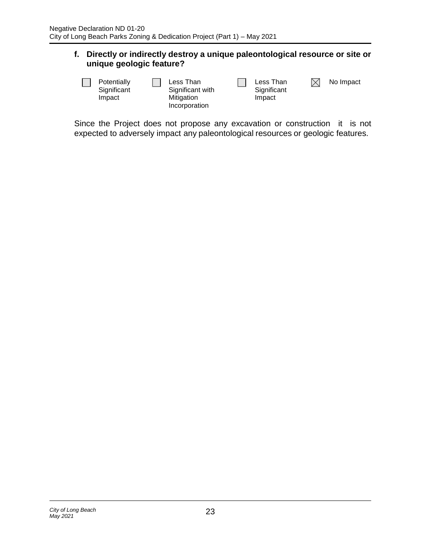$\Box$ 

#### **f. Directly or indirectly destroy a unique paleontological resource or site or unique geologic feature?**

| Potentially<br>Significant |
|----------------------------|
| Impact                     |

Less Than Significant with Mitigation Incorporation

Less Than **Significant** Impact

 $\boxtimes$ No Impact

Since the Project does not propose any excavation or construction it is not expected to adversely impact any paleontological resources or geologic features.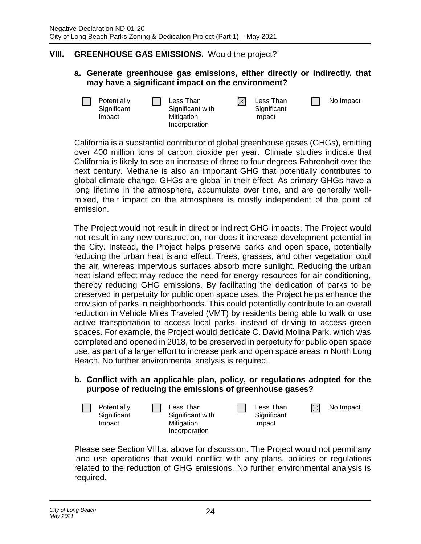## **VIII. GREENHOUSE GAS EMISSIONS.** Would the project?

#### **a. Generate greenhouse gas emissions, either directly or indirectly, that may have a significant impact on the environment?**

- **Potentially Significant** Impact
- Less Than Significant with Mitigation Incorporation
- $\boxtimes$ Less Than **Significant** Impact

No Impact

California is a substantial contributor of global greenhouse gases (GHGs), emitting over 400 million tons of carbon dioxide per year. Climate studies indicate that California is likely to see an increase of three to four degrees Fahrenheit over the next century. Methane is also an important GHG that potentially contributes to global climate change. GHGs are global in their effect. As primary GHGs have a long lifetime in the atmosphere, accumulate over time, and are generally wellmixed, their impact on the atmosphere is mostly independent of the point of emission.

The Project would not result in direct or indirect GHG impacts. The Project would not result in any new construction, nor does it increase development potential in the City. Instead, the Project helps preserve parks and open space, potentially reducing the urban heat island effect. Trees, grasses, and other vegetation cool the air, whereas impervious surfaces absorb more sunlight. Reducing the urban heat island effect may reduce the need for energy resources for air conditioning, thereby reducing GHG emissions. By facilitating the dedication of parks to be preserved in perpetuity for public open space uses, the Project helps enhance the provision of parks in neighborhoods. This could potentially contribute to an overall reduction in Vehicle Miles Traveled (VMT) by residents being able to walk or use active transportation to access local parks, instead of driving to access green spaces. For example, the Project would dedicate C. David Molina Park, which was completed and opened in 2018, to be preserved in perpetuity for public open space use, as part of a larger effort to increase park and open space areas in North Long Beach. No further environmental analysis is required.

#### **b. Conflict with an applicable plan, policy, or regulations adopted for the purpose of reducing the emissions of greenhouse gases?**

**Potentially Significant** Impact

Less Than Significant with Mitigation Incorporation

Less Than **Significant** Impact

No Impact  $\bowtie$ 

Please see Section VIII.a. above for discussion. The Project would not permit any land use operations that would conflict with any plans, policies or regulations related to the reduction of GHG emissions. No further environmental analysis is required.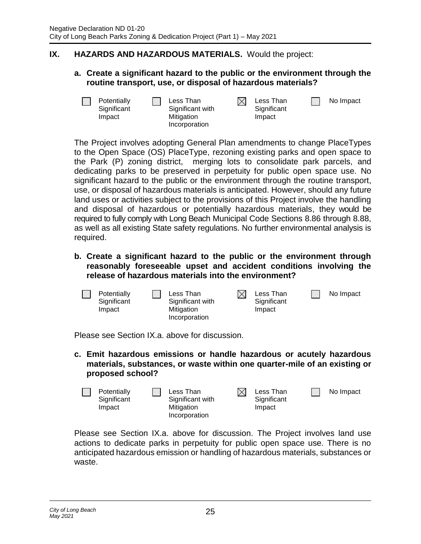#### **IX. HAZARDS AND HAZARDOUS MATERIALS.** Would the project:

#### **a. Create a significant hazard to the public or the environment through the routine transport, use, or disposal of hazardous materials?**

- **Potentially Significant** Impact
- Less Than Significant with Mitigation Incorporation
- $\boxtimes$ Less Than **Significant** Impact

No Impact

The Project involves adopting General Plan amendments to change PlaceTypes to the Open Space (OS) PlaceType, rezoning existing parks and open space to the Park (P) zoning district, merging lots to consolidate park parcels, and dedicating parks to be preserved in perpetuity for public open space use. No significant hazard to the public or the environment through the routine transport, use, or disposal of hazardous materials is anticipated. However, should any future land uses or activities subject to the provisions of this Project involve the handling and disposal of hazardous or potentially hazardous materials, they would be required to fully comply with Long Beach Municipal Code Sections 8.86 through 8.88, as well as all existing State safety regulations. No further environmental analysis is required.

**b. Create a significant hazard to the public or the environment through reasonably foreseeable upset and accident conditions involving the release of hazardous materials into the environment?**

**Potentially Significant** Impact

| Less Than        |
|------------------|
| Significant with |
| Mitigation       |
| Incorporation    |

No Impact

Please see Section IX.a. above for discussion.

**c. Emit hazardous emissions or handle hazardous or acutely hazardous materials, substances, or waste within one quarter-mile of an existing or proposed school?**

| Potentially<br>Significant<br>Impact | Less Than<br>Significant with<br>Mitigation<br>Incorporation | Less Than<br>Significant<br>Impact | No Impact |
|--------------------------------------|--------------------------------------------------------------|------------------------------------|-----------|
|--------------------------------------|--------------------------------------------------------------|------------------------------------|-----------|

Please see Section IX.a. above for discussion. The Project involves land use actions to dedicate parks in perpetuity for public open space use. There is no anticipated hazardous emission or handling of hazardous materials, substances or waste.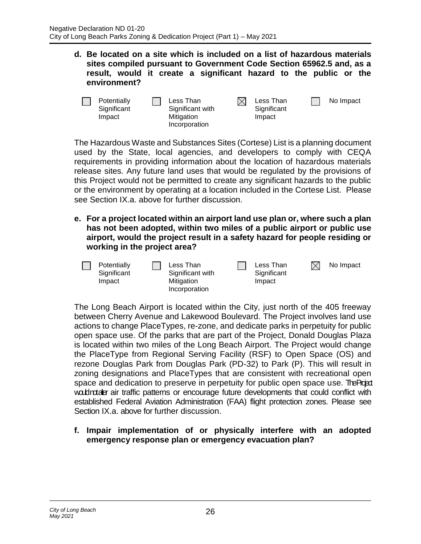- **d. Be located on a site which is included on a list of hazardous materials sites compiled pursuant to Government Code Section 65962.5 and, as a result, would it create a significant hazard to the public or the environment?**
	- **Potentially Significant** Impact
- Less Than Significant with Mitigation Incorporation
- $\boxtimes$ Less Than **Significant** Impact

No Impact

The Hazardous Waste and Substances Sites (Cortese) List is a planning document used by the State, local agencies, and developers to comply with CEQA requirements in providing information about the location of hazardous materials release sites. Any future land uses that would be regulated by the provisions of this Project would not be permitted to create any significant hazards to the public or the environment by operating at a location included in the Cortese List. Please see Section IX.a. above for further discussion.

**e. For a project located within an airport land use plan or, where such a plan has not been adopted, within two miles of a public airport or public use airport, would the project result in a safety hazard for people residing or working in the project area?**

| Potentially<br>Significant<br>Impact | Less Than<br>Significant with<br>Mitigation | Less Than<br>Significant<br>Impact |  | No Impact |
|--------------------------------------|---------------------------------------------|------------------------------------|--|-----------|
|                                      | Incorporation                               |                                    |  |           |

The Long Beach Airport is located within the City, just north of the 405 freeway between Cherry Avenue and Lakewood Boulevard. The Project involves land use actions to change PlaceTypes, re-zone, and dedicate parks in perpetuity for public open space use. Of the parks that are part of the Project, Donald Douglas Plaza is located within two miles of the Long Beach Airport. The Project would change the PlaceType from Regional Serving Facility (RSF) to Open Space (OS) and rezone Douglas Park from Douglas Park (PD-32) to Park (P). This will result in zoning designations and PlaceTypes that are consistent with recreational open space and dedication to preserve in perpetuity for public open space use. The Project would not alrear air traffic patterns or encourage future developments that could conflict with established Federal Aviation Administration (FAA) flight protection zones. Please see Section IX.a. above for further discussion.

**f. Impair implementation of or physically interfere with an adopted emergency response plan or emergency evacuation plan?**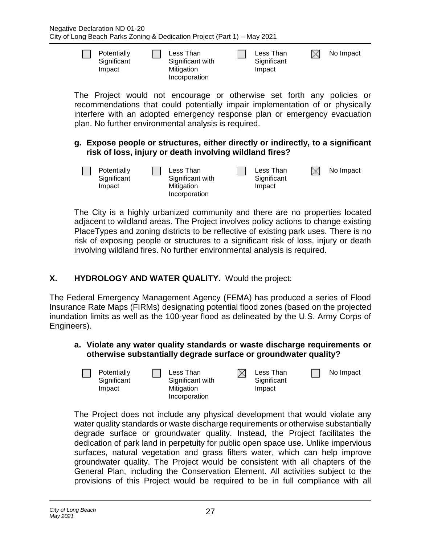

The Project would not encourage or otherwise set forth any policies or recommendations that could potentially impair implementation of or physically interfere with an adopted emergency response plan or emergency evacuation plan. No further environmental analysis is required.

#### **g. Expose people or structures, either directly or indirectly, to a significant risk of loss, injury or death involving wildland fires?**

- **Potentially Significant** Impact
- Less Than Significant with **Mitigation** Incorporation
- Less Than **Significant** Impact

 $\boxtimes$ No Impact

The City is a highly urbanized community and there are no properties located adjacent to wildland areas. The Project involves policy actions to change existing PlaceTypes and zoning districts to be reflective of existing park uses. There is no risk of exposing people or structures to a significant risk of loss, injury or death involving wildland fires. No further environmental analysis is required.

## **X. HYDROLOGY AND WATER QUALITY.** Would the project:

The Federal Emergency Management Agency (FEMA) has produced a series of Flood Insurance Rate Maps (FIRMs) designating potential flood zones (based on the projected inundation limits as well as the 100-year flood as delineated by the U.S. Army Corps of Engineers).

**a. Violate any water quality standards or waste discharge requirements or otherwise substantially degrade surface or groundwater quality?**

**Potentially Significant** Impact

Less Than Significant with **Mitigation** Incorporation

 $\boxtimes$ Less Than **Significant** Impact

No Impact

The Project does not include any physical development that would violate any water quality standards or waste discharge requirements or otherwise substantially degrade surface or groundwater quality. Instead, the Project facilitates the dedication of park land in perpetuity for public open space use. Unlike impervious surfaces, natural vegetation and grass filters water, which can help improve groundwater quality. The Project would be consistent with all chapters of the General Plan, including the Conservation Element. All activities subject to the provisions of this Project would be required to be in full compliance with all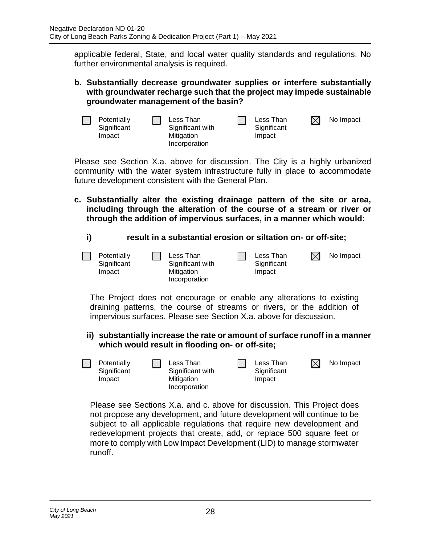applicable federal, State, and local water quality standards and regulations. No further environmental analysis is required.

#### **b. Substantially decrease groundwater supplies or interfere substantially with groundwater recharge such that the project may impede sustainable groundwater management of the basin?**

| Potentially<br>Significant<br>Impact |  | Less Than<br>Significant with<br>Mitigation<br>Incorporation |  | Less Than<br>Significant<br>Impact |  |  | No Impact |
|--------------------------------------|--|--------------------------------------------------------------|--|------------------------------------|--|--|-----------|
|--------------------------------------|--|--------------------------------------------------------------|--|------------------------------------|--|--|-----------|

Please see Section X.a. above for discussion. The City is a highly urbanized community with the water system infrastructure fully in place to accommodate future development consistent with the General Plan.

**c. Substantially alter the existing drainage pattern of the site or area, including through the alteration of the course of a stream or river or through the addition of impervious surfaces, in a manner which would:**

**i) result in a substantial erosion or siltation on- or off-site;**

| Potentially |
|-------------|
| Significant |
| Impact      |

| Less Than        |
|------------------|
| Significant with |
| Mitigation       |
| Incorporation    |

| Less Than   |
|-------------|
| Significant |
| Impact      |
|             |

No Impact  $\boxtimes$ 

The Project does not encourage or enable any alterations to existing draining patterns, the course of streams or rivers, or the addition of impervious surfaces. Please see Section X.a. above for discussion.

**ii) substantially increase the rate or amount of surface runoff in a manner which would result in flooding on- or off-site;**

**Potentially Significant** Impact

| Less Than        |
|------------------|
| Significant with |
| Mitigation       |
| Incorporation    |

Less Than **Significant** Impact

No Impact  $\boxtimes$ 

Please see Sections X.a. and c. above for discussion. This Project does not propose any development, and future development will continue to be subject to all applicable regulations that require new development and redevelopment projects that create, add, or replace 500 square feet or more to comply with Low Impact Development (LID) to manage stormwater runoff.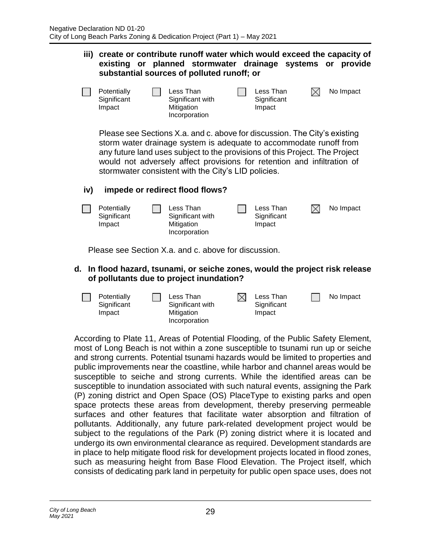**iii) create or contribute runoff water which would exceed the capacity of existing or planned stormwater drainage systems or provide substantial sources of polluted runoff; or Potentially** Less Than Less Than  $\boxtimes$ No Impact **Significant** Significant with **Significant** Impact Mitigation Impact Incorporation Please see Sections X.a. and c. above for discussion. The City's existing storm water drainage system is adequate to accommodate runoff from any future land uses subject to the provisions of this Project. The Project would not adversely affect provisions for retention and infiltration of stormwater consistent with the City's LID policies. **iv) impede or redirect flood flows? Potentially** No Impact Less Than Less Than  $\boxtimes$ **Significant** Significant with **Significant** Impact Mitigation Impact Incorporation Please see Section X.a. and c. above for discussion. **d. In flood hazard, tsunami, or seiche zones, would the project risk release of pollutants due to project inundation?**

| Potentially<br>Significant<br>Impact | Less Than<br>Significant with<br>Mitigation<br>Incorporation | Less Than<br>Significant<br>Impact |  | No Impact |
|--------------------------------------|--------------------------------------------------------------|------------------------------------|--|-----------|
|--------------------------------------|--------------------------------------------------------------|------------------------------------|--|-----------|

According to Plate 11, Areas of Potential Flooding, of the Public Safety Element, most of Long Beach is not within a zone susceptible to tsunami run up or seiche and strong currents. Potential tsunami hazards would be limited to properties and public improvements near the coastline, while harbor and channel areas would be susceptible to seiche and strong currents. While the identified areas can be susceptible to inundation associated with such natural events, assigning the Park (P) zoning district and Open Space (OS) PlaceType to existing parks and open space protects these areas from development, thereby preserving permeable surfaces and other features that facilitate water absorption and filtration of pollutants. Additionally, any future park-related development project would be subject to the regulations of the Park (P) zoning district where it is located and undergo its own environmental clearance as required. Development standards are in place to help mitigate flood risk for development projects located in flood zones, such as measuring height from Base Flood Elevation. The Project itself, which consists of dedicating park land in perpetuity for public open space uses, does not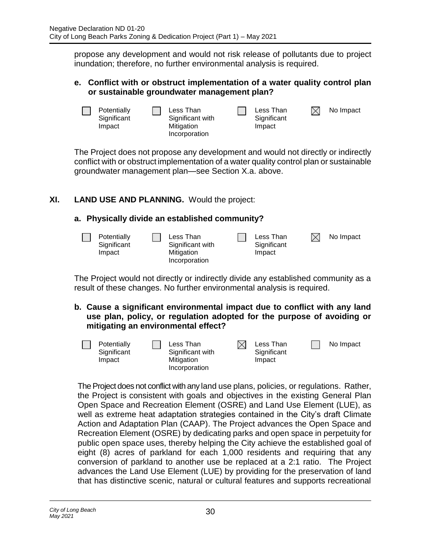propose any development and would not risk release of pollutants due to project inundation; therefore, no further environmental analysis is required.

#### **e. Conflict with or obstruct implementation of a water quality control plan or sustainable groundwater management plan?**

| Potentially |
|-------------|
| Significant |
| Impact      |

| Less Than        |
|------------------|
| Significant with |
| Mitigation       |
| Incorporation    |

| Less Than   |
|-------------|
| Significant |
| Impact      |

No Impact  $\boxtimes$ 

The Project does not propose any development and would not directly or indirectly conflict with or obstruct implementation of a water quality control plan or sustainable groundwater management plan—see Section X.a. above.

## **XI. LAND USE AND PLANNING.** Would the project:

#### **a. Physically divide an established community?**

|  | Potentially<br>Significant<br>Impact |  | Less Than<br>Significant with<br>Mitigation<br>Incorporation |  | Less Than<br>Significant<br>Impact |  | No Impact |
|--|--------------------------------------|--|--------------------------------------------------------------|--|------------------------------------|--|-----------|
|--|--------------------------------------|--|--------------------------------------------------------------|--|------------------------------------|--|-----------|

The Project would not directly or indirectly divide any established community as a result of these changes. No further environmental analysis is required.

**b. Cause a significant environmental impact due to conflict with any land use plan, policy, or regulation adopted for the purpose of avoiding or mitigating an environmental effect?**

| Potentially<br>Significant<br>Impact | Less Than<br>Significant with<br>Mitigation<br>Incorporation |  | Less Than<br>Significant<br>Impact |  | No Impact |
|--------------------------------------|--------------------------------------------------------------|--|------------------------------------|--|-----------|
|--------------------------------------|--------------------------------------------------------------|--|------------------------------------|--|-----------|

The Project does not conflict with any land use plans, policies, or regulations. Rather, the Project is consistent with goals and objectives in the existing General Plan Open Space and Recreation Element (OSRE) and Land Use Element (LUE), as well as extreme heat adaptation strategies contained in the City's draft Climate Action and Adaptation Plan (CAAP). The Project advances the Open Space and Recreation Element (OSRE) by dedicating parks and open space in perpetuity for public open space uses, thereby helping the City achieve the established goal of eight (8) acres of parkland for each 1,000 residents and requiring that any conversion of parkland to another use be replaced at a 2:1 ratio. The Project advances the Land Use Element (LUE) by providing for the preservation of land that has distinctive scenic, natural or cultural features and supports recreational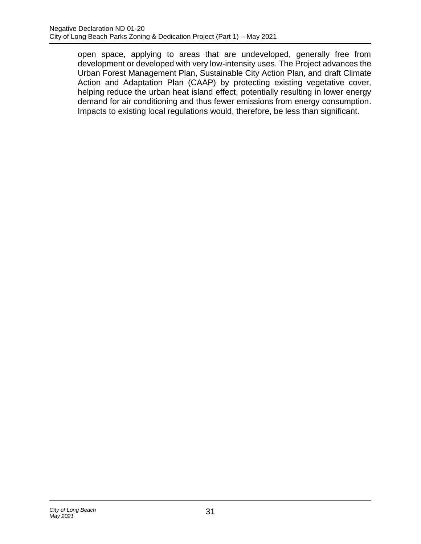open space, applying to areas that are undeveloped, generally free from development or developed with very low-intensity uses. The Project advances the Urban Forest Management Plan, Sustainable City Action Plan, and draft Climate Action and Adaptation Plan (CAAP) by protecting existing vegetative cover, helping reduce the urban heat island effect, potentially resulting in lower energy demand for air conditioning and thus fewer emissions from energy consumption. Impacts to existing local regulations would, therefore, be less than significant.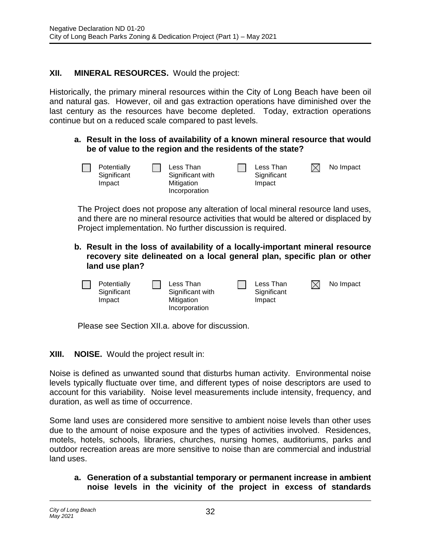## **XII. MINERAL RESOURCES.** Would the project:

Historically, the primary mineral resources within the City of Long Beach have been oil and natural gas. However, oil and gas extraction operations have diminished over the last century as the resources have become depleted. Today, extraction operations continue but on a reduced scale compared to past levels.

#### **a. Result in the loss of availability of a known mineral resource that would be of value to the region and the residents of the state?**

| Potentially<br>Significant<br>Impact | Less Than<br>Significant with<br>Mitigation<br>Incorporation | Less Than<br>Significant<br>Impact | No Impact |
|--------------------------------------|--------------------------------------------------------------|------------------------------------|-----------|
|                                      |                                                              |                                    |           |

The Project does not propose any alteration of local mineral resource land uses, and there are no mineral resource activities that would be altered or displaced by Project implementation. No further discussion is required.

**b. Result in the loss of availability of a locally-important mineral resource recovery site delineated on a local general plan, specific plan or other land use plan?**

| Mitigation<br>Impact<br>Impact<br>Incorporation |  | Potentially<br>Significant | Less Than<br>Significant with |  | Less Than<br>Significant |  |  | No Impact |  |
|-------------------------------------------------|--|----------------------------|-------------------------------|--|--------------------------|--|--|-----------|--|
|-------------------------------------------------|--|----------------------------|-------------------------------|--|--------------------------|--|--|-----------|--|

Please see Section XII.a. above for discussion.

**XIII. NOISE.** Would the project result in:

Noise is defined as unwanted sound that disturbs human activity. Environmental noise levels typically fluctuate over time, and different types of noise descriptors are used to account for this variability. Noise level measurements include intensity, frequency, and duration, as well as time of occurrence.

Some land uses are considered more sensitive to ambient noise levels than other uses due to the amount of noise exposure and the types of activities involved. Residences, motels, hotels, schools, libraries, churches, nursing homes, auditoriums, parks and outdoor recreation areas are more sensitive to noise than are commercial and industrial land uses.

**a. Generation of a substantial temporary or permanent increase in ambient noise levels in the vicinity of the project in excess of standards**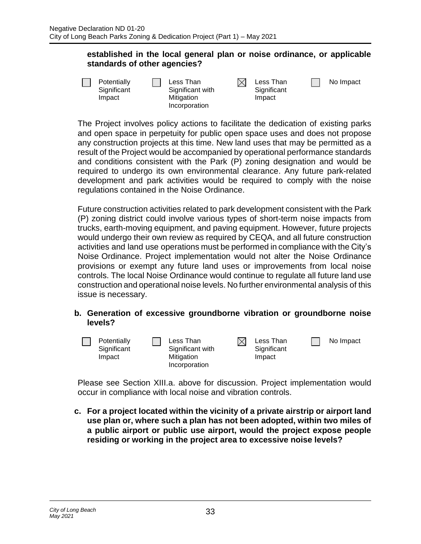#### **established in the local general plan or noise ordinance, or applicable standards of other agencies?**



- Less Than Significant with **Mitigation** Incorporation
- $\boxtimes$ Less Than **Significant** Impact

No Impact

The Project involves policy actions to facilitate the dedication of existing parks and open space in perpetuity for public open space uses and does not propose any construction projects at this time. New land uses that may be permitted as a result of the Project would be accompanied by operational performance standards and conditions consistent with the Park (P) zoning designation and would be required to undergo its own environmental clearance. Any future park-related development and park activities would be required to comply with the noise regulations contained in the Noise Ordinance.

Future construction activities related to park development consistent with the Park (P) zoning district could involve various types of short-term noise impacts from trucks, earth-moving equipment, and paving equipment. However, future projects would undergo their own review as required by CEQA, and all future construction activities and land use operations must be performed in compliance with the City's Noise Ordinance. Project implementation would not alter the Noise Ordinance provisions or exempt any future land uses or improvements from local noise controls. The local Noise Ordinance would continue to regulate all future land use construction and operational noise levels. No further environmental analysis of this issue is necessary.

#### **b. Generation of excessive groundborne vibration or groundborne noise levels?**

**Potentially Significant** Impact

Less Than Significant with Mitigation Incorporation

| $\boxtimes$ | Less Than   |
|-------------|-------------|
|             | Significant |
|             | Impact      |

No Impact

Please see Section XIII.a. above for discussion. Project implementation would occur in compliance with local noise and vibration controls.

**c. For a project located within the vicinity of a private airstrip or airport land use plan or, where such a plan has not been adopted, within two miles of a public airport or public use airport, would the project expose people residing or working in the project area to excessive noise levels?**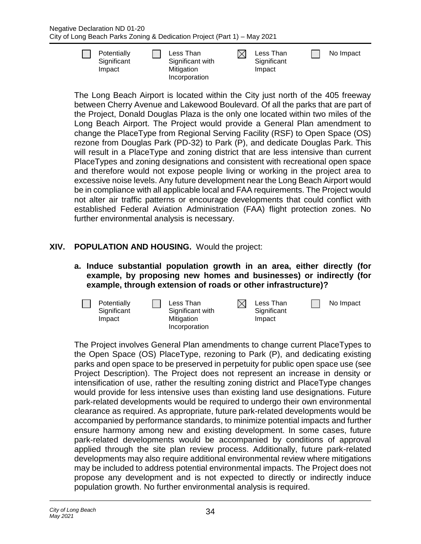

The Long Beach Airport is located within the City just north of the 405 freeway between Cherry Avenue and Lakewood Boulevard. Of all the parks that are part of the Project, Donald Douglas Plaza is the only one located within two miles of the Long Beach Airport. The Project would provide a General Plan amendment to change the PlaceType from Regional Serving Facility (RSF) to Open Space (OS) rezone from Douglas Park (PD-32) to Park (P), and dedicate Douglas Park. This will result in a PlaceType and zoning district that are less intensive than current PlaceTypes and zoning designations and consistent with recreational open space and therefore would not expose people living or working in the project area to excessive noise levels. Any future development near the Long Beach Airport would be in compliance with all applicable local and FAA requirements. The Project would not alter air traffic patterns or encourage developments that could conflict with established Federal Aviation Administration (FAA) flight protection zones. No further environmental analysis is necessary.

## **XIV. POPULATION AND HOUSING.** Would the project:

**a. Induce substantial population growth in an area, either directly (for example, by proposing new homes and businesses) or indirectly (for example, through extension of roads or other infrastructure)?**

|  | Potentially<br>Significant<br>Impact |  | Less Than<br>Significant with<br>Mitigation<br>Incorporation |  | Less Than<br>Significant<br>Impact |  | No Impact |
|--|--------------------------------------|--|--------------------------------------------------------------|--|------------------------------------|--|-----------|
|--|--------------------------------------|--|--------------------------------------------------------------|--|------------------------------------|--|-----------|

The Project involves General Plan amendments to change current PlaceTypes to the Open Space (OS) PlaceType, rezoning to Park (P), and dedicating existing parks and open space to be preserved in perpetuity for public open space use (see Project Description). The Project does not represent an increase in density or intensification of use, rather the resulting zoning district and PlaceType changes would provide for less intensive uses than existing land use designations. Future park-related developments would be required to undergo their own environmental clearance as required. As appropriate, future park-related developments would be accompanied by performance standards, to minimize potential impacts and further ensure harmony among new and existing development. In some cases, future park-related developments would be accompanied by conditions of approval applied through the site plan review process. Additionally, future park-related developments may also require additional environmental review where mitigations may be included to address potential environmental impacts. The Project does not propose any development and is not expected to directly or indirectly induce population growth. No further environmental analysis is required.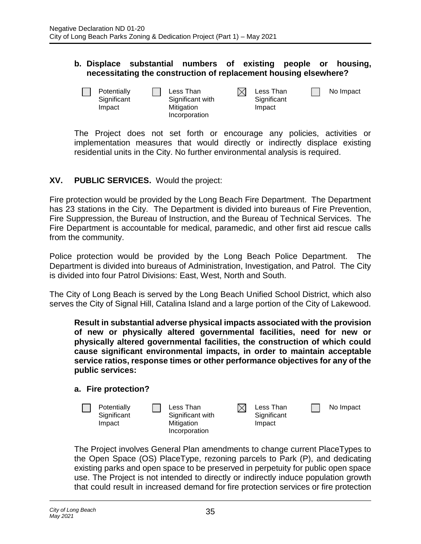#### **b. Displace substantial numbers of existing people or housing, necessitating the construction of replacement housing elsewhere?**



Less Than Significant with Mitigation Incorporation

Less Than  $\boxtimes$ **Significant** Impact

No Impact

The Project does not set forth or encourage any policies, activities or implementation measures that would directly or indirectly displace existing residential units in the City. No further environmental analysis is required.

## **XV. PUBLIC SERVICES.** Would the project:

Fire protection would be provided by the Long Beach Fire Department. The Department has 23 stations in the City. The Department is divided into bureaus of Fire Prevention, Fire Suppression, the Bureau of Instruction, and the Bureau of Technical Services. The Fire Department is accountable for medical, paramedic, and other first aid rescue calls from the community.

Police protection would be provided by the Long Beach Police Department. The Department is divided into bureaus of Administration, Investigation, and Patrol. The City is divided into four Patrol Divisions: East, West, North and South.

The City of Long Beach is served by the Long Beach Unified School District, which also serves the City of Signal Hill, Catalina Island and a large portion of the City of Lakewood.

**Result in substantial adverse physical impacts associated with the provision of new or physically altered governmental facilities, need for new or physically altered governmental facilities, the construction of which could cause significant environmental impacts, in order to maintain acceptable service ratios, response times or other performance objectives for any of the public services:**

#### **a. Fire protection?**

| I | Potentially<br>Significant |
|---|----------------------------|
|   | Impact                     |

Less Than Significant with Mitigation Incorporation

| $\boxtimes$ | Less Than   |
|-------------|-------------|
|             | Significant |
|             | Impact      |

No Impact

The Project involves General Plan amendments to change current PlaceTypes to the Open Space (OS) PlaceType, rezoning parcels to Park (P), and dedicating existing parks and open space to be preserved in perpetuity for public open space use. The Project is not intended to directly or indirectly induce population growth that could result in increased demand for fire protection services or fire protection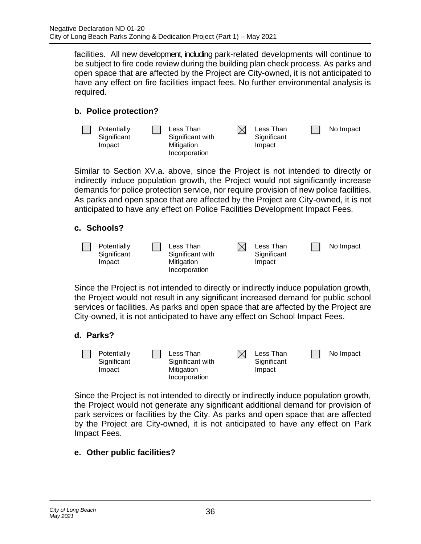facilities. All new development, including park-related developments will continue to be subject to fire code review during the building plan check process. As parks and open space that are affected by the Project are City-owned, it is not anticipated to have any effect on fire facilities impact fees. No further environmental analysis is required.

#### **b. Police protection?**





Since the Project is not intended to directly or indirectly induce population growth, the Project would not generate any significant additional demand for provision of park services or facilities by the City. As parks and open space that are affected by the Project are City-owned, it is not anticipated to have any effect on Park Impact Fees.

## **e. Other public facilities?**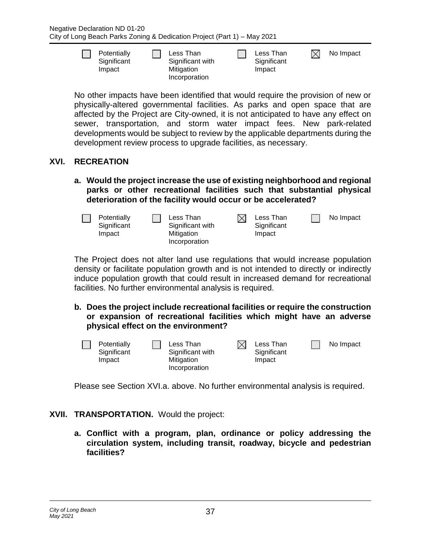

No other impacts have been identified that would require the provision of new or physically-altered governmental facilities. As parks and open space that are affected by the Project are City-owned, it is not anticipated to have any effect on sewer, transportation, and storm water impact fees. New park-related developments would be subject to review by the applicable departments during the development review process to upgrade facilities, as necessary.

#### **XVI. RECREATION**

**a. Would the project increase the use of existing neighborhood and regional parks or other recreational facilities such that substantial physical deterioration of the facility would occur or be accelerated?**

| Potentially<br>Significant<br>Mitigation<br>Impact | Less Than<br>Significant with<br>Incorporation | Less Than<br>Significant<br>Impact |  | No Impact |
|----------------------------------------------------|------------------------------------------------|------------------------------------|--|-----------|
|----------------------------------------------------|------------------------------------------------|------------------------------------|--|-----------|

The Project does not alter land use regulations that would increase population density or facilitate population growth and is not intended to directly or indirectly induce population growth that could result in increased demand for recreational facilities. No further environmental analysis is required.

**b. Does the project include recreational facilities or require the construction or expansion of recreational facilities which might have an adverse physical effect on the environment?**

|  | Potentially<br>Significant<br>Impact |  | Less Than<br>Significant with<br>Mitigation<br>Incorporation |  | Less Than<br>Significant<br>Impact |  | No Impact |
|--|--------------------------------------|--|--------------------------------------------------------------|--|------------------------------------|--|-----------|
|--|--------------------------------------|--|--------------------------------------------------------------|--|------------------------------------|--|-----------|

Please see Section XVI.a. above. No further environmental analysis is required.

#### **XVII. TRANSPORTATION.** Would the project:

**a. Conflict with a program, plan, ordinance or policy addressing the circulation system, including transit, roadway, bicycle and pedestrian facilities?**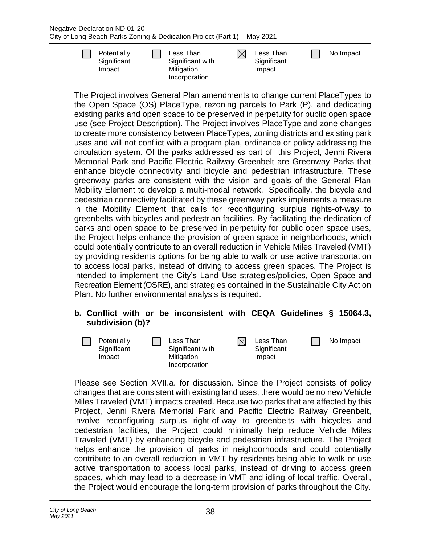

The Project involves General Plan amendments to change current PlaceTypes to the Open Space (OS) PlaceType, rezoning parcels to Park (P), and dedicating existing parks and open space to be preserved in perpetuity for public open space use (see Project Description). The Project involves PlaceType and zone changes to create more consistency between PlaceTypes, zoning districts and existing park uses and will not conflict with a program plan, ordinance or policy addressing the circulation system. Of the parks addressed as part of this Project, Jenni Rivera Memorial Park and Pacific Electric Railway Greenbelt are Greenway Parks that enhance bicycle connectivity and bicycle and pedestrian infrastructure. These greenway parks are consistent with the vision and goals of the General Plan Mobility Element to develop a multi-modal network. Specifically, the bicycle and pedestrian connectivity facilitated by these greenway parks implements a measure in the Mobility Element that calls for reconfiguring surplus rights-of-way to greenbelts with bicycles and pedestrian facilities. By facilitating the dedication of parks and open space to be preserved in perpetuity for public open space uses, the Project helps enhance the provision of green space in neighborhoods, which could potentially contribute to an overall reduction in Vehicle Miles Traveled (VMT) by providing residents options for being able to walk or use active transportation to access local parks, instead of driving to access green spaces. The Project is intended to implement the City's Land Use strategies/policies, Open Space and Recreation Element (OSRE), and strategies contained in the Sustainable City Action Plan. No further environmental analysis is required.

#### **b. Conflict with or be inconsistent with CEQA Guidelines § 15064.3, subdivision (b)?**

- **Potentially Significant** Impact
- Less Than Significant with Mitigation

Incorporation

Less Than  $\boxtimes$ **Significant** Impact

No Impact

Please see Section XVII.a. for discussion. Since the Project consists of policy changes that are consistent with existing land uses, there would be no new Vehicle Miles Traveled (VMT) impacts created. Because two parks that are affected by this Project, Jenni Rivera Memorial Park and Pacific Electric Railway Greenbelt, involve reconfiguring surplus right-of-way to greenbelts with bicycles and pedestrian facilities, the Project could minimally help reduce Vehicle Miles Traveled (VMT) by enhancing bicycle and pedestrian infrastructure. The Project helps enhance the provision of parks in neighborhoods and could potentially contribute to an overall reduction in VMT by residents being able to walk or use active transportation to access local parks, instead of driving to access green spaces, which may lead to a decrease in VMT and idling of local traffic. Overall, the Project would encourage the long-term provision of parks throughout the City.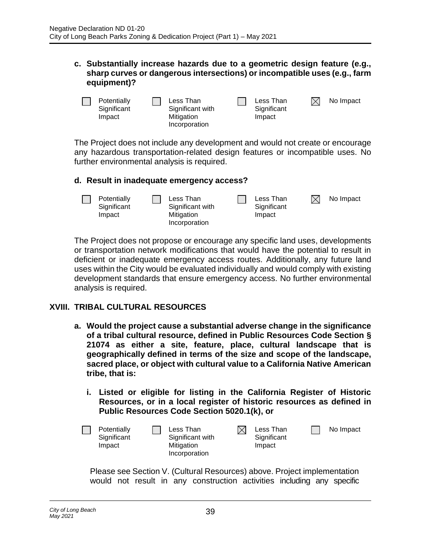#### **c. Substantially increase hazards due to a geometric design feature (e.g., sharp curves or dangerous intersections) or incompatible uses (e.g., farm equipment)?**

| Potentially<br>Significant |
|----------------------------|
| Impact                     |

| Less Than<br>Significant with |
|-------------------------------|
| Mitigation                    |
| Incorporation                 |

Less Than **Significant** Impact

 $\boxtimes$ No Impact

The Project does not include any development and would not create or encourage any hazardous transportation-related design features or incompatible uses. No further environmental analysis is required.

#### **d. Result in inadequate emergency access?**

| Potentially |
|-------------|
| Significant |
| Impact      |

Less Than Significant with Mitigation Incorporation

Less Than **Significant** Impact

No Impact  $\bowtie$ 

The Project does not propose or encourage any specific land uses, developments or transportation network modifications that would have the potential to result in deficient or inadequate emergency access routes. Additionally, any future land uses within the City would be evaluated individually and would comply with existing development standards that ensure emergency access. No further environmental analysis is required.

#### **XVIII. TRIBAL CULTURAL RESOURCES**

- **a. Would the project cause a substantial adverse change in the significance of a tribal cultural resource, defined in Public Resources Code Section § 21074 as either a site, feature, place, cultural landscape that is geographically defined in terms of the size and scope of the landscape, sacred place, or object with cultural value to a California Native American tribe, that is:**
	- **i. Listed or eligible for listing in the California Register of Historic Resources, or in a local register of historic resources as defined in Public Resources Code Section 5020.1(k), or**



Less Than Significant with Mitigation Incorporation

 $\boxtimes$ Less Than **Significant** Impact

No Impact

Please see Section V. (Cultural Resources) above. Project implementation would not result in any construction activities including any specific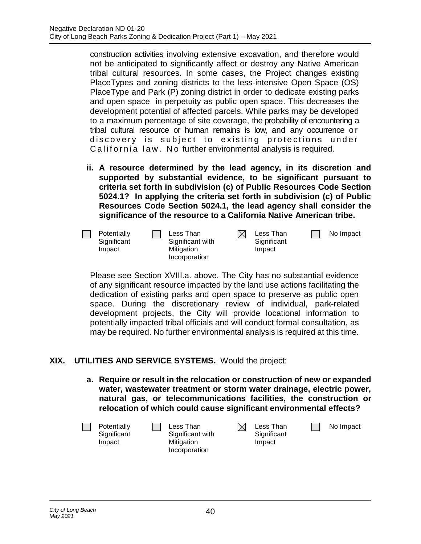construction activities involving extensive excavation, and therefore would not be anticipated to significantly affect or destroy any Native American tribal cultural resources. In some cases, the Project changes existing PlaceTypes and zoning districts to the less-intensive Open Space (OS) PlaceType and Park (P) zoning district in order to dedicate existing parks and open space in perpetuity as public open space. This decreases the development potential of affected parcels. While parks may be developed to a maximum percentage of site coverage, the probability of encountering a tribal cultural resource or human remains is low, and any occurrence o r discovery is subject to existing protections under California law. No further environmental analysis is required.

**ii. A resource determined by the lead agency, in its discretion and supported by substantial evidence, to be significant pursuant to criteria set forth in subdivision (c) of Public Resources Code Section 5024.1? In applying the criteria set forth in subdivision (c) of Public Resources Code Section 5024.1, the lead agency shall consider the significance of the resource to a California Native American tribe.** 

| Potentially<br>Significant<br>Impact | Less Than<br>Significant with<br>Mitigation<br>Incorporation | Less Than<br>Significant<br>Impact |  | No Impact |
|--------------------------------------|--------------------------------------------------------------|------------------------------------|--|-----------|
|--------------------------------------|--------------------------------------------------------------|------------------------------------|--|-----------|

Please see Section XVIII.a. above. The City has no substantial evidence of any significant resource impacted by the land use actions facilitating the dedication of existing parks and open space to preserve as public open space. During the discretionary review of individual, park-related development projects, the City will provide locational information to potentially impacted tribal officials and will conduct formal consultation, as may be required. No further environmental analysis is required at this time.

#### **XIX. UTILITIES AND SERVICE SYSTEMS.** Would the project:

**a. Require or result in the relocation or construction of new or expanded water, wastewater treatment or storm water drainage, electric power, natural gas, or telecommunications facilities, the construction or relocation of which could cause significant environmental effects?** 

 $\boxtimes$ 

**Potentially Significant** Impact

Less Than Significant with Mitigation Incorporation

Less Than **Significant** Impact

No Impact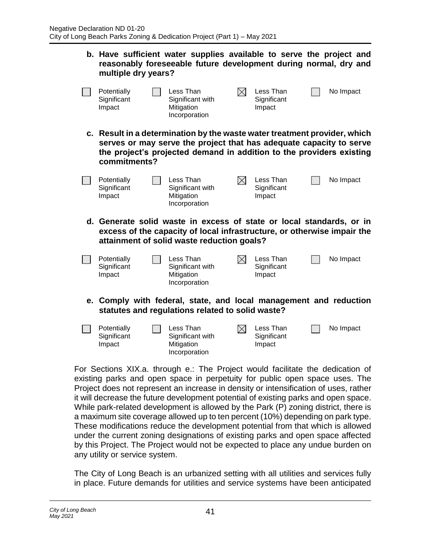| multiple dry years?                  | b. Have sufficient water supplies available to serve the project and<br>reasonably foreseeable future development during normal, dry and                                                                                 |             |                                    |           |
|--------------------------------------|--------------------------------------------------------------------------------------------------------------------------------------------------------------------------------------------------------------------------|-------------|------------------------------------|-----------|
| Potentially<br>Significant<br>Impact | Less Than<br>Significant with<br>Mitigation<br>Incorporation                                                                                                                                                             | $\boxtimes$ | Less Than<br>Significant<br>Impact | No Impact |
| commitments?                         | c. Result in a determination by the waste water treatment provider, which<br>serves or may serve the project that has adequate capacity to serve<br>the project's projected demand in addition to the providers existing |             |                                    |           |
| Potentially<br>Significant<br>Impact | Less Than<br>Significant with<br>Mitigation<br>Incorporation                                                                                                                                                             | $\bowtie$   | Less Than<br>Significant<br>Impact | No Impact |
|                                      |                                                                                                                                                                                                                          |             |                                    |           |
|                                      | d. Generate solid waste in excess of state or local standards, or in<br>excess of the capacity of local infrastructure, or otherwise impair the<br>attainment of solid waste reduction goals?                            |             |                                    |           |
| Potentially<br>Significant<br>Impact | Less Than<br>Significant with<br>Mitigation<br>Incorporation                                                                                                                                                             | $\boxtimes$ | Less Than<br>Significant<br>Impact | No Impact |
|                                      | e. Comply with federal, state, and local management and reduction<br>statutes and regulations related to solid waste?                                                                                                    |             |                                    |           |
| Potentially<br>Significant<br>Impact | Less Than<br>Significant with<br>Mitigation<br>Incorporation                                                                                                                                                             | $\boxtimes$ | Less Than<br>Significant<br>Impact | No Impact |

For Sections XIX.a. through e.: The Project would facilitate the dedication of existing parks and open space in perpetuity for public open space uses. The Project does not represent an increase in density or intensification of uses, rather it will decrease the future development potential of existing parks and open space. While park-related development is allowed by the Park (P) zoning district, there is a maximum site coverage allowed up to ten percent (10%) depending on park type. These modifications reduce the development potential from that which is allowed under the current zoning designations of existing parks and open space affected by this Project. The Project would not be expected to place any undue burden on any utility or service system.

The City of Long Beach is an urbanized setting with all utilities and services fully in place. Future demands for utilities and service systems have been anticipated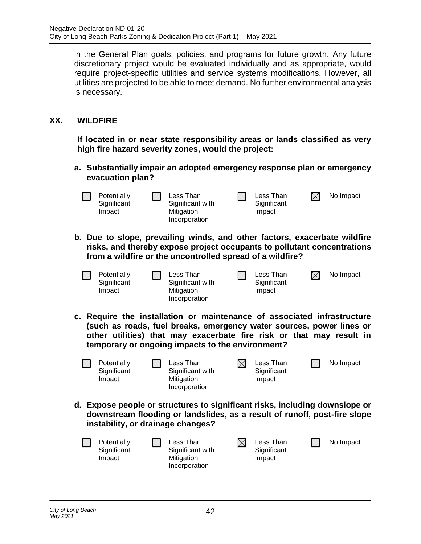in the General Plan goals, policies, and programs for future growth. Any future discretionary project would be evaluated individually and as appropriate, would require project-specific utilities and service systems modifications. However, all utilities are projected to be able to meet demand. No further environmental analysis is necessary.

#### **XX. WILDFIRE**

**If located in or near state responsibility areas or lands classified as very high fire hazard severity zones, would the project:**

**a. Substantially impair an adopted emergency response plan or emergency evacuation plan?**

| Potentially<br>Significant<br>Impact | Less Than<br>Mitigation<br>Incorporation | Significant with | Less Than<br>Significant<br>Impact | No Impact |  |
|--------------------------------------|------------------------------------------|------------------|------------------------------------|-----------|--|
|                                      |                                          |                  |                                    | . .       |  |

**b. Due to slope, prevailing winds, and other factors, exacerbate wildfire risks, and thereby expose project occupants to pollutant concentrations from a wildfire or the uncontrolled spread of a wildfire?**

| Potentially<br>Significant<br>Impact | Less Than<br>Significant with<br>Mitigation<br>Incorporation | Less Than<br>Significant<br>Impact |  | No Impact |
|--------------------------------------|--------------------------------------------------------------|------------------------------------|--|-----------|
|--------------------------------------|--------------------------------------------------------------|------------------------------------|--|-----------|

**c. Require the installation or maintenance of associated infrastructure (such as roads, fuel breaks, emergency water sources, power lines or other utilities) that may exacerbate fire risk or that may result in temporary or ongoing impacts to the environment?**

**Potentially Significant** Impact

Less Than Significant with Mitigation Incorporation

Less Than  $\boxtimes$ **Significant** Impact

No Impact

- **d. Expose people or structures to significant risks, including downslope or downstream flooding or landslides, as a result of runoff, post-fire slope instability, or drainage changes?**
	- **Potentially Significant** Impact
- Less Than Significant with Mitigation Incorporation
- $\boxtimes$ Less Than **Significant** Impact

No Impact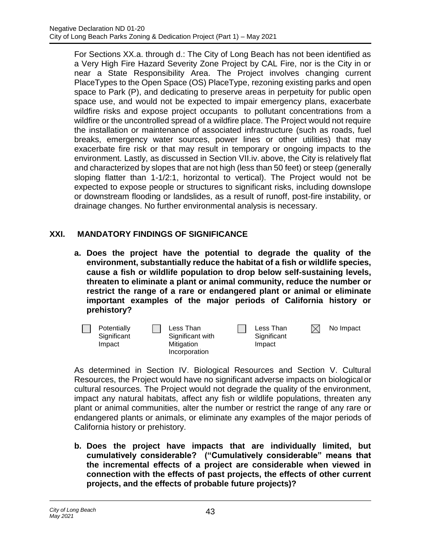For Sections XX.a. through d.: The City of Long Beach has not been identified as a Very High Fire Hazard Severity Zone Project by CAL Fire, nor is the City in or near a State Responsibility Area. The Project involves changing current PlaceTypes to the Open Space (OS) PlaceType, rezoning existing parks and open space to Park (P), and dedicating to preserve areas in perpetuity for public open space use, and would not be expected to impair emergency plans, exacerbate wildfire risks and expose project occupants to pollutant concentrations from a wildfire or the uncontrolled spread of a wildfire place. The Project would not require the installation or maintenance of associated infrastructure (such as roads, fuel breaks, emergency water sources, power lines or other utilities) that may exacerbate fire risk or that may result in temporary or ongoing impacts to the environment. Lastly, as discussed in Section VII.iv. above, the City is relatively flat and characterized by slopes that are not high (less than 50 feet) or steep (generally sloping flatter than 1-1/2:1, horizontal to vertical). The Project would not be expected to expose people or structures to significant risks, including downslope or downstream flooding or landslides, as a result of runoff, post-fire instability, or drainage changes. No further environmental analysis is necessary.

## **XXI. MANDATORY FINDINGS OF SIGNIFICANCE**

**a. Does the project have the potential to degrade the quality of the environment, substantially reduce the habitat of a fish or wildlife species, cause a fish or wildlife population to drop below self-sustaining levels, threaten to eliminate a plant or animal community, reduce the number or restrict the range of a rare or endangered plant or animal or eliminate important examples of the major periods of California history or prehistory?**



As determined in Section IV. Biological Resources and Section V. Cultural Resources, the Project would have no significant adverse impacts on biologicalor cultural resources. The Project would not degrade the quality of the environment, impact any natural habitats, affect any fish or wildlife populations, threaten any plant or animal communities, alter the number or restrict the range of any rare or endangered plants or animals, or eliminate any examples of the major periods of California history or prehistory.

**b. Does the project have impacts that are individually limited, but cumulatively considerable? ("Cumulatively considerable" means that the incremental effects of a project are considerable when viewed in connection with the effects of past projects, the effects of other current projects, and the effects of probable future projects)?**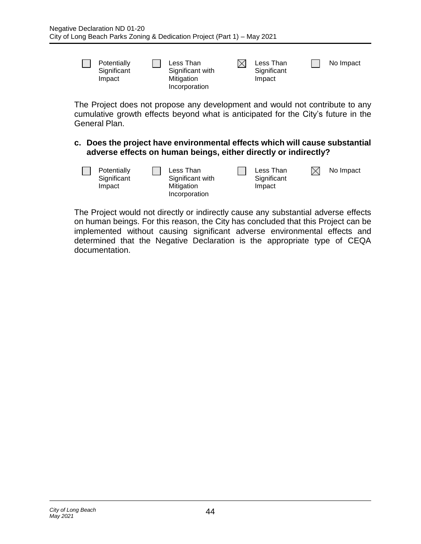

The Project does not propose any development and would not contribute to any cumulative growth effects beyond what is anticipated for the City's future in the General Plan.

- **c. Does the project have environmental effects which will cause substantial adverse effects on human beings, either directly or indirectly?**
	- **Potentially Significant** Impact

Less Than Significant with Mitigation Incorporation

Less Than **Significant** Impact

 $\boxtimes$ No Impact

The Project would not directly or indirectly cause any substantial adverse effects on human beings. For this reason, the City has concluded that this Project can be implemented without causing significant adverse environmental effects and determined that the Negative Declaration is the appropriate type of CEQA documentation.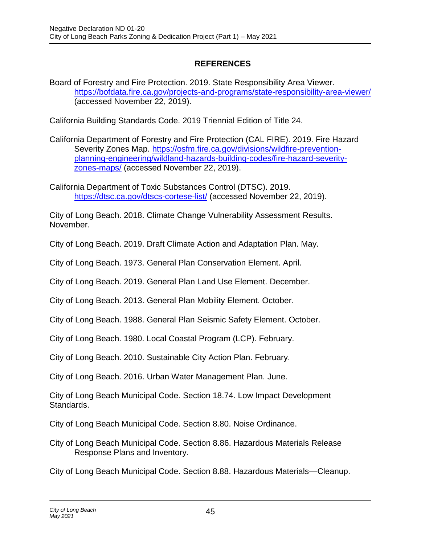# **REFERENCES**

Board of Forestry and Fire Protection. 2019. State Responsibility Area Viewer. https://bofdata.fire.ca.gov/projects-and-programs/state-responsibility-area-viewer/ (accessed November 22, 2019).

California Building Standards Code. 2019 Triennial Edition of Title 24.

California Department of Forestry and Fire Protection (CAL FIRE). 2019. Fire Hazard Severity Zones Map. https://osfm.fire.ca.gov/divisions/wildfire-preventionplanning-engineering/wildland-hazards-building-codes/fire-hazard-severityzones-maps/ (accessed November 22, 2019).

California Department of Toxic Substances Control (DTSC). 2019. https://dtsc.ca.gov/dtscs-cortese-list/ (accessed November 22, 2019).

City of Long Beach. 2018. Climate Change Vulnerability Assessment Results. November.

City of Long Beach. 2019. Draft Climate Action and Adaptation Plan. May.

City of Long Beach. 1973. General Plan Conservation Element. April.

City of Long Beach. 2019. General Plan Land Use Element. December.

City of Long Beach. 2013. General Plan Mobility Element. October.

City of Long Beach. 1988. General Plan Seismic Safety Element. October.

City of Long Beach. 1980. Local Coastal Program (LCP). February.

City of Long Beach. 2010. Sustainable City Action Plan. February.

City of Long Beach. 2016. Urban Water Management Plan. June.

City of Long Beach Municipal Code. Section 18.74. Low Impact Development Standards.

City of Long Beach Municipal Code. Section 8.80. Noise Ordinance.

City of Long Beach Municipal Code. Section 8.86. Hazardous Materials Release Response Plans and Inventory.

City of Long Beach Municipal Code. Section 8.88. Hazardous Materials—Cleanup.